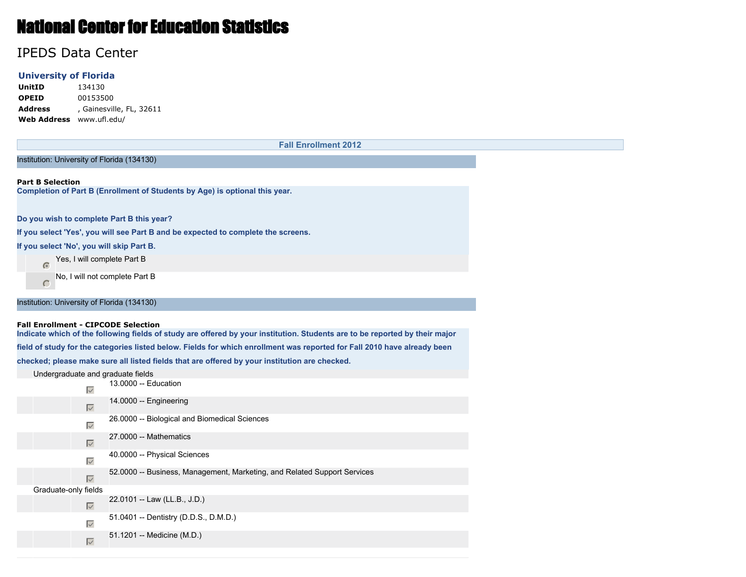# National Center for Education Statistics

## IPEDS Data Center

## **University of Florida**

**UnitID** 134130 **OPEID** 00153500 **Address** , Gainesville, FL, 32611 **Web Address** www.ufl.edu/

|                                           |                     | <b>Fall Enrollment 2012</b>                                                                                                                                               |
|-------------------------------------------|---------------------|---------------------------------------------------------------------------------------------------------------------------------------------------------------------------|
|                                           |                     | Institution: University of Florida (134130)                                                                                                                               |
|                                           |                     |                                                                                                                                                                           |
| <b>Part B Selection</b>                   |                     | Completion of Part B (Enrollment of Students by Age) is optional this year.                                                                                               |
|                                           |                     |                                                                                                                                                                           |
|                                           |                     | Do you wish to complete Part B this year?                                                                                                                                 |
|                                           |                     | If you select 'Yes', you will see Part B and be expected to complete the screens.                                                                                         |
| If you select 'No', you will skip Part B. |                     |                                                                                                                                                                           |
| $\sqrt{a}$                                |                     | Yes, I will complete Part B                                                                                                                                               |
| C                                         |                     | No, I will not complete Part B                                                                                                                                            |
|                                           |                     | Institution: University of Florida (134130)                                                                                                                               |
|                                           |                     | <b>Fall Enrollment - CIPCODE Selection</b><br>Indicate which of the following fields of study are offered by your institution. Students are to be reported by their major |
|                                           |                     | field of study for the categories listed below. Fields for which enrollment was reported for Fall 2010 have already been                                                  |
|                                           |                     | checked; please make sure all listed fields that are offered by your institution are checked.                                                                             |
|                                           |                     | Undergraduate and graduate fields                                                                                                                                         |
|                                           | $\overline{\vee}$   | 13.0000 -- Education                                                                                                                                                      |
|                                           | $\overline{\vee}$   | 14.0000 -- Engineering                                                                                                                                                    |
|                                           | $\overline{\vee}$   | 26.0000 -- Biological and Biomedical Sciences                                                                                                                             |
|                                           | $\overline{\vee}$   | 27.0000 -- Mathematics                                                                                                                                                    |
|                                           | $\overline{\vee}$   | 40.0000 -- Physical Sciences                                                                                                                                              |
|                                           | $\overline{\vee}$   | 52.0000 -- Business, Management, Marketing, and Related Support Services                                                                                                  |
| Graduate-only fields                      |                     |                                                                                                                                                                           |
|                                           | $\overline{\vee}$   | 22.0101 -- Law (LL.B., J.D.)                                                                                                                                              |
|                                           | $\overline{\vee}$   | 51.0401 -- Dentistry (D.D.S., D.M.D.)                                                                                                                                     |
|                                           | $\overline{\smile}$ | 51.1201 -- Medicine (M.D.)                                                                                                                                                |
|                                           |                     |                                                                                                                                                                           |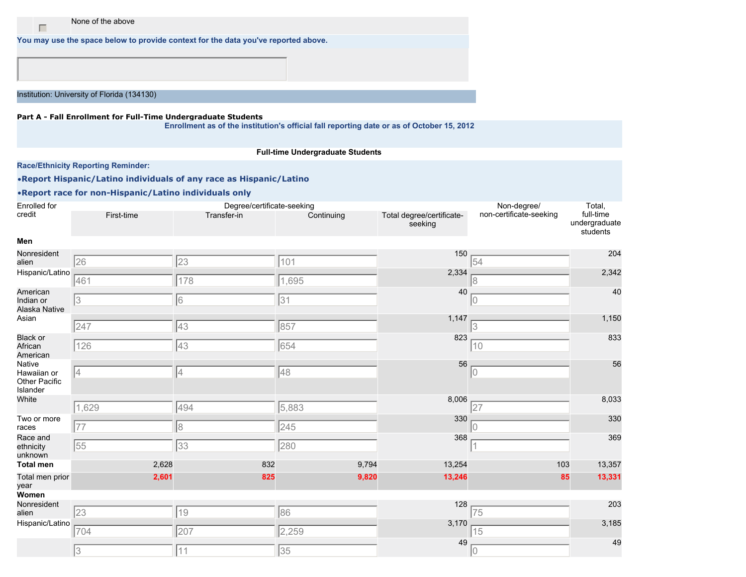None of the above

**You may use the space below to provide context for the data you've reported above.**

Institution: University of Florida (134130)

 $\Box$ 

#### **Part A - Fall Enrollment for Full-Time Undergraduate Students**

**Enrollment as of the institution's official fall reporting date or as of October 15, 2012**

#### **Full-time Undergraduate Students**

**Race/Ethnicity Reporting Reminder:**

•**Report Hispanic/Latino individuals of any race as Hispanic/Latino**

| <b>Enrolled</b> for                                |            | Degree/certificate-seeking |            |                                      | Non-degree/             | Total,                                 |
|----------------------------------------------------|------------|----------------------------|------------|--------------------------------------|-------------------------|----------------------------------------|
| credit                                             | First-time | Transfer-in                | Continuing | Total degree/certificate-<br>seeking | non-certificate-seeking | full-time<br>undergraduate<br>students |
| Men                                                |            |                            |            |                                      |                         |                                        |
| Nonresident<br>alien                               | 26         | 23                         | 101        | 150                                  | 54                      | 204                                    |
| Hispanic/Latino                                    | 461        | 178                        | 1,695      | 2,334                                |                         | 2,342                                  |
| American<br>Indian or<br>Alaska Native             | 13         | 6                          | 31         | 40                                   |                         | 40                                     |
| Asian                                              | 247        | 43                         | 857        | 1,147                                | 3                       | 1,150                                  |
| <b>Black or</b><br>African<br>American             | 126        | 43                         | 654        | 823                                  | 10                      | 833                                    |
| Native<br>Hawaiian or<br>Other Pacific<br>Islander | 14         | $\overline{4}$             | 48         | 56                                   | 0                       | 56                                     |
| White                                              | 1,629      | 494                        | 5,883      | 8,006                                | 27                      | 8,033                                  |
| Two or more<br>races                               | 77         | $\sqrt{8}$                 | 245        | 330                                  |                         | 330                                    |
| Race and<br>ethnicity<br>unknown                   | 55         | 33                         | 280        | 368                                  |                         | 369                                    |
| <b>Total men</b>                                   | 2,628      | 832                        | 9,794      | 13,254                               | 103                     | 13,357                                 |
| Total men prior<br>year                            | 2,601      | 825                        | 9,820      | 13,246                               | 85                      | 13,331                                 |
| Women                                              |            |                            |            |                                      |                         |                                        |
| Nonresident<br>alien                               | 23         | 19                         | 86         | 128                                  | 75                      | 203                                    |
| Hispanic/Latino                                    | 704        | 207                        | 2,259      | 3,170                                | 15                      | 3,185                                  |
|                                                    | 3          | 11                         | 35         | 49                                   |                         | 49                                     |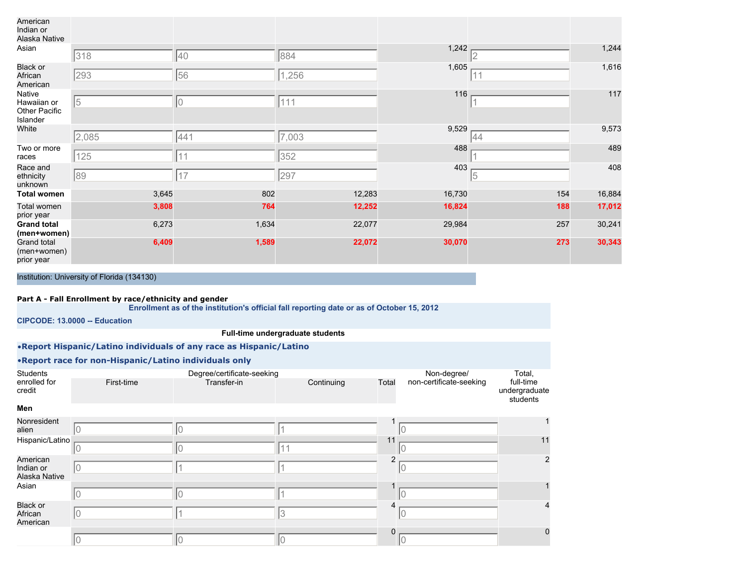| American<br>Indian or<br>Alaska Native             |       |                |        |        |            |        |
|----------------------------------------------------|-------|----------------|--------|--------|------------|--------|
| Asian                                              | 318   | 40             | 884    | 1,242  |            | 1,244  |
| <b>Black or</b><br>African<br>American             | 293   | 56             | ,256   | 1,605  | 11         | 1,616  |
| Native<br>Hawaiian or<br>Other Pacific<br>Islander | 15    | $\overline{0}$ | 111    | 116    |            | 117    |
| White                                              | 2,085 | 441            | 7,003  | 9,529  | 44         | 9,573  |
| Two or more<br>races                               | 125   | 11             | 352    | 488    |            | 489    |
| Race and<br>ethnicity<br>unknown                   | 89    | 17             | 297    | 403    | $\sqrt{5}$ | 408    |
| <b>Total women</b>                                 | 3,645 | 802            | 12,283 | 16,730 | 154        | 16,884 |
| Total women<br>prior year                          | 3,808 | 764            | 12,252 | 16,824 | 188        | 17,012 |
| <b>Grand total</b><br>(men+women)                  | 6,273 | 1,634          | 22,077 | 29,984 | 257        | 30,241 |
| Grand total<br>(men+women)<br>prior year           | 6,409 | 1,589          | 22,072 | 30,070 | 273        | 30,343 |

#### **Part A - Fall Enrollment by race/ethnicity and gender**

**Enrollment as of the institution's official fall reporting date or as of October 15, 2012**

**CIPCODE: 13.0000 -- Education**

#### **Full-time undergraduate students**

•**Report Hispanic/Latino individuals of any race as Hispanic/Latino**

|                                        |            | .                                         |            |          |                                        |                                                  |
|----------------------------------------|------------|-------------------------------------------|------------|----------|----------------------------------------|--------------------------------------------------|
| Students<br>enrolled for<br>credit     | First-time | Degree/certificate-seeking<br>Transfer-in | Continuing | Total    | Non-degree/<br>non-certificate-seeking | Total,<br>full-time<br>undergraduate<br>students |
| Men                                    |            |                                           |            |          |                                        |                                                  |
| Nonresident<br>alien                   |            |                                           |            |          |                                        |                                                  |
| Hispanic/Latino                        |            |                                           |            | 11       |                                        | 11                                               |
| American<br>Indian or<br>Alaska Native |            |                                           |            | 2        | 0                                      | $\overline{2}$                                   |
| Asian                                  |            |                                           |            |          |                                        |                                                  |
| <b>Black or</b><br>African<br>American |            |                                           | З          |          |                                        | 4                                                |
|                                        | 10         | l0                                        |            | $\Omega$ |                                        | $\mathbf 0$                                      |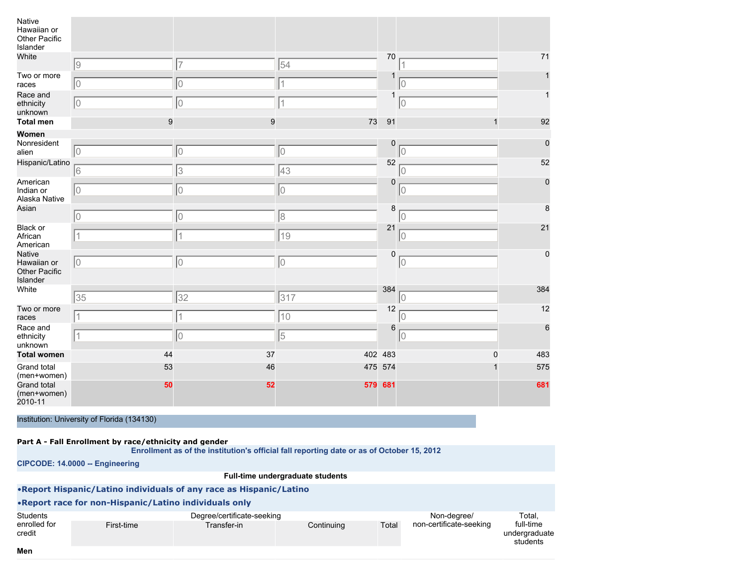| Native<br>Hawaiian or<br>Other Pacific<br>Islander |    |                |     |         |             |     |
|----------------------------------------------------|----|----------------|-----|---------|-------------|-----|
| White                                              | 9  | $\overline{7}$ | 54  | 70      |             | 71  |
| Two or more<br>races                               | 10 | 0              |     | 1       |             |     |
| Race and<br>ethnicity<br>unknown                   | Iо | 0              |     | 1       | $ 0\rangle$ | 1   |
| <b>Total men</b>                                   | 9  | 9              | 73  | 91      |             | 92  |
| Women                                              |    |                |     |         |             |     |
| Nonresident<br>alien                               | 10 | 0              | 10  | 0       | 10          | 0   |
| Hispanic/Latino                                    | 6  | 3              | 43  | 52      | 10          | 52  |
| American<br>Indian or<br>Alaska Native             | 10 | 0              | 10  | 0       | IО          | 0   |
| Asian                                              | 10 | 10             | 8   | 8       | IО          | 8   |
| Black or<br>African<br>American                    | 1  | $\vert$ 1      | 19  | 21      | 10          | 21  |
| Native<br>Hawaiian or<br>Other Pacific<br>Islander | 10 | 0              | 10  | 0       | $ 0\rangle$ | 0   |
| White                                              | 35 | 32             | 317 | 384     | $ 0\rangle$ | 384 |
| Two or more<br>races                               |    | 1              | 10  | 12      | 10          | 12  |
| Race and<br>ethnicity<br>unknown                   |    | 0              | 5   | 6       | 10          | 6   |
| <b>Total women</b>                                 | 44 | 37             |     | 402 483 | $\Omega$    | 483 |
| Grand total<br>(men+women)                         | 53 | 46             |     | 475 574 |             | 575 |
| Grand total<br>(men+women)<br>2010-11              | 50 | 52             |     | 579 681 |             | 681 |

#### **Part A - Fall Enrollment by race/ethnicity and gender**

**Enrollment as of the institution's official fall reporting date or as of October 15, 2012**

**CIPCODE: 14.0000 -- Engineering**

#### **Full-time undergraduate students**

•**Report Hispanic/Latino individuals of any race as Hispanic/Latino** •**Report race for non-Hispanic/Latino individuals only Students** enrolled for credit Degree/certificate-seeking First-time Transfer-in Continuing Total Non-degree/ non-certificate-seeking Total, full-time undergraduate students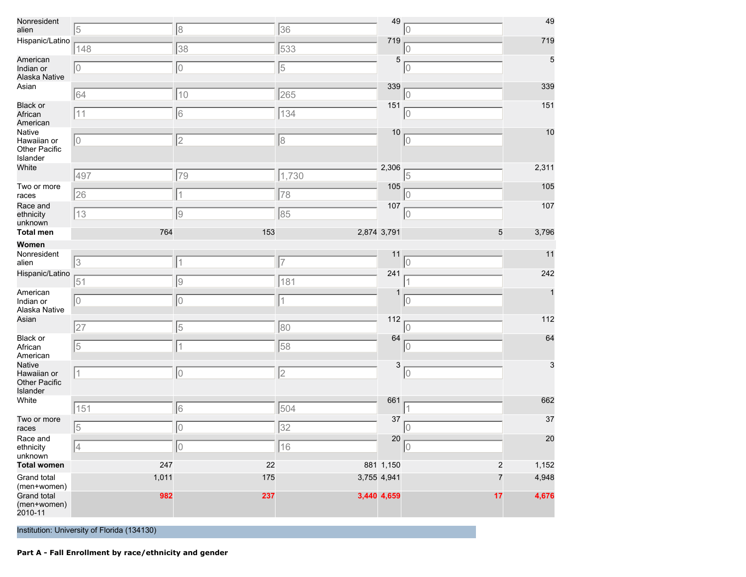| Nonresident<br>alien                               | 5                                                     | 8          | 36    | 49                         | 10                   | 49             |  |  |
|----------------------------------------------------|-------------------------------------------------------|------------|-------|----------------------------|----------------------|----------------|--|--|
| Hispanic/Latino                                    | 148                                                   | 38         | 533   | 719                        | 0                    | 719            |  |  |
| American<br>Indian or<br>Alaska Native             | 10                                                    | 0          | 5     | 5                          | 10                   | 5              |  |  |
| Asian                                              | 64                                                    | 10         | 265   | 339                        | 10                   | 339            |  |  |
| <b>Black or</b><br>African<br>American             | 11                                                    | 6          | 134   | 151                        | 10                   | 151            |  |  |
| Native<br>Hawaiian or<br>Other Pacific<br>Islander | $ 0\rangle$                                           | 2          | 8     | 10                         | 0                    | 10             |  |  |
| White                                              | 497                                                   | 79         | 1,730 | 2,306                      | 5                    | 2,311          |  |  |
| Two or more<br>races                               | 26                                                    | $\vert$ 1  | 78    | 105                        | 10                   | 105            |  |  |
| Race and<br>ethnicity<br>unknown                   | 13                                                    | 9          | 85    | 107                        | 10                   | 107            |  |  |
| <b>Total men</b>                                   | 764                                                   | 153        |       | 2,874 3,791                | 5                    | 3,796          |  |  |
| Women<br>Nonresident<br>alien                      | 3                                                     | $\vert$ 1  | 17    | 11                         | lO                   | 11             |  |  |
| Hispanic/Latino                                    | 51                                                    | 9          | 181   | 241                        |                      | 242            |  |  |
| American<br>Indian or<br>Alaska Native             | $ 0\rangle$                                           | 10         | 1     | 1                          | 10                   | $\mathbf{1}$   |  |  |
| Asian                                              | 27                                                    | 5          | 80    | 112                        | 10                   | 112            |  |  |
| <b>Black or</b><br>African<br>American             | 5                                                     | $\vert$ 1  | 58    | 64                         | $ 0\rangle$          | 64             |  |  |
| Native<br>Hawaiian or<br>Other Pacific<br>Islander | 1                                                     | 10         | 2     | $\mathsf 3$                | $ 0\rangle$          | $\mathbf{3}$   |  |  |
| White                                              | 151                                                   | 6          | 504   | 661                        |                      | 662            |  |  |
| Two or more<br>races                               | $\sqrt{5}$                                            | 10         | 32    | 37                         | 10                   | 37             |  |  |
| Race and<br>ethnicity<br>unknown                   | 4                                                     | 0          | 16    | 20                         | $ 0\rangle$          | 20             |  |  |
| <b>Total women</b>                                 | 247                                                   | 22         |       | 881 1,150                  | 2                    | 1,152          |  |  |
| Grand total<br>(men+women)<br>Grand total          | 1,011<br>982                                          | 175<br>237 |       | 3,755 4,941<br>3,440 4,659 | $\overline{7}$<br>17 | 4,948<br>4,676 |  |  |
| (men+women)<br>2010-11                             |                                                       |            |       |                            |                      |                |  |  |
|                                                    | Institution: University of Florida (134130)           |            |       |                            |                      |                |  |  |
|                                                    | Part A - Fall Enrollment by race/ethnicity and gender |            |       |                            |                      |                |  |  |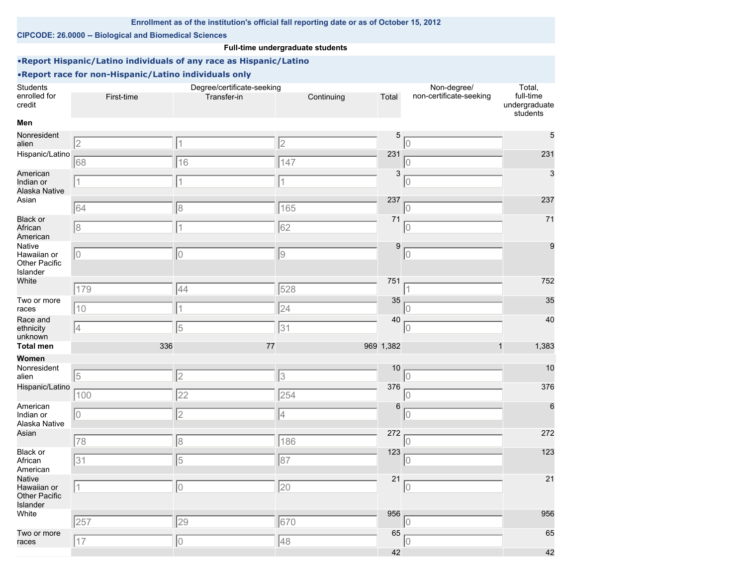## **Enrollment as of the institution's official fall reporting date or as of October 15, 2012**

#### **CIPCODE: 26.0000 -- Biological and Biomedical Sciences**

## **Full-time undergraduate students**

## •**Report Hispanic/Latino individuals of any race as Hispanic/Latino**

| <b>Students</b>                                    |            | Degree/certificate-seeking |                 |           | Non-degree/             | Total,                                 |
|----------------------------------------------------|------------|----------------------------|-----------------|-----------|-------------------------|----------------------------------------|
| enrolled for<br>credit                             | First-time | Transfer-in                | Continuing      | Total     | non-certificate-seeking | full-time<br>undergraduate<br>students |
| Men                                                |            |                            |                 |           |                         |                                        |
| Nonresident<br>alien                               | 2          | 1                          | 2               | 5         | 10                      | $\sqrt{5}$                             |
| Hispanic/Latino                                    | 68         | 16                         | 147             | 231       | IO.                     | 231                                    |
| American<br>Indian or<br>Alaska Native             | 11         | 1                          | 1               | 3         | 0                       | 3                                      |
| Asian                                              | 64         | $\delta$                   | 165             | 237       | 10                      | 237                                    |
| <b>Black or</b><br>African<br>American             | 8          | $\overline{1}$             | 62              | 71        | 0                       | 71                                     |
| Native<br>Hawaiian or<br>Other Pacific<br>Islander | 10         | $\overline{0}$             | $\sqrt{9}$      | 9         | 0                       | 9                                      |
| White                                              | 179        | 44                         | 528             | 751       |                         | 752                                    |
| Two or more<br>races                               | 10         |                            | 24              | 35        | 10                      | 35                                     |
| Race and<br>ethnicity<br>unknown                   | 4          | 5                          | 31              | 40        | 10                      | 40                                     |
| <b>Total men</b>                                   | 336        | 77                         |                 | 969 1,382 | 1                       | 1,383                                  |
| Women                                              |            |                            |                 |           |                         |                                        |
| Nonresident<br>alien                               | $\sqrt{5}$ | $\overline{2}$             | 3               | 10        | $\Omega$                | 10                                     |
| Hispanic/Latino                                    | 100        | 22                         | 254             | 376       | 0                       | 376                                    |
| American<br>Indian or<br>Alaska Native             | 10         | $\overline{c}$             | 4               | 6         | 0                       | 6                                      |
| Asian                                              | 78         | $\delta$                   | 186             | 272       | 10                      | 272                                    |
| <b>Black or</b><br>African<br>American             | 31         | 5                          | 87              | 123       | 10                      | 123                                    |
| Native<br>Hawaiian or<br>Other Pacific<br>Islander | $\vert$ 1  | $\overline{0}$             | $\overline{20}$ | 21        | 10                      | 21                                     |
| White                                              | 257        | 29                         | 670             | 956       | 10                      | 956                                    |
| Two or more<br>races                               | 17         | $\bigcirc$                 | 48              | 65        | $\overline{0}$          | 65                                     |
|                                                    |            |                            |                 | 42        |                         | 42                                     |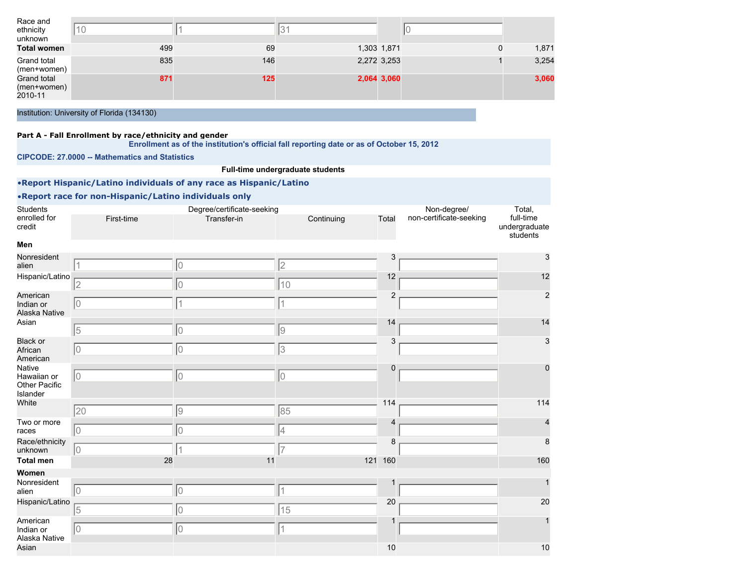| Race and<br>ethnicity<br>unknown      | 10  |     |             |       |
|---------------------------------------|-----|-----|-------------|-------|
| <b>Total women</b>                    | 499 | 69  | 1,303 1,871 | 1,871 |
| Grand total<br>(men+women)            | 835 | 146 | 2,272 3,253 | 3,254 |
| Grand total<br>(men+women)<br>2010-11 | 871 | 125 | 2,064 3,060 | 3,060 |

#### **Part A - Fall Enrollment by race/ethnicity and gender**

**Enrollment as of the institution's official fall reporting date or as of October 15, 2012**

**CIPCODE: 27.0000 -- Mathematics and Statistics**

## **Full-time undergraduate students**

## •**Report Hispanic/Latino individuals of any race as Hispanic/Latino**

| Students<br>enrolled for<br>credit                 | First-time     | Degree/certificate-seeking<br>Transfer-in | Continuing | Total          | Non-degree/<br>non-certificate-seeking | Total,<br>full-time<br>undergraduate<br>students |
|----------------------------------------------------|----------------|-------------------------------------------|------------|----------------|----------------------------------------|--------------------------------------------------|
| Men                                                |                |                                           |            |                |                                        |                                                  |
| Nonresident<br>alien                               | $\overline{1}$ | 10                                        | 2          | 3              |                                        |                                                  |
| Hispanic/Latino                                    | $\overline{2}$ | 10                                        | 10         | 12             |                                        | 12                                               |
| American<br>Indian or<br>Alaska Native             | 10             | 1                                         |            | $\overline{2}$ |                                        | $\overline{2}$                                   |
| Asian                                              | 5              | 10                                        | 9          | 14             |                                        | 14                                               |
| <b>Black or</b><br>African<br>American             | 10             | 10                                        | 3          | 3              |                                        | 3                                                |
| Native<br>Hawaiian or<br>Other Pacific<br>Islander | 10             | 10                                        | 10         | $\mathbf 0$    |                                        | 0                                                |
| White                                              | 20             | 9                                         | 85         | 114            |                                        | 114                                              |
| Two or more<br>races                               | lo             | 10                                        | 4          | $\Delta$       |                                        |                                                  |
| Race/ethnicity<br>unknown                          | 10             | 1                                         | 17         | 8              |                                        |                                                  |
| <b>Total men</b>                                   | 28             | 11                                        |            | 121 160        |                                        | 160                                              |
| Women                                              |                |                                           |            |                |                                        |                                                  |
| Nonresident<br>alien                               | 10             | 10                                        | 1          |                |                                        |                                                  |
| Hispanic/Latino                                    | 5              | 10                                        | 15         | 20             |                                        | 20                                               |
| American<br>Indian or<br>Alaska Native             | lo             | 10                                        | $\vert$ 1  |                |                                        |                                                  |
| Asian                                              |                |                                           |            | 10             |                                        | 10                                               |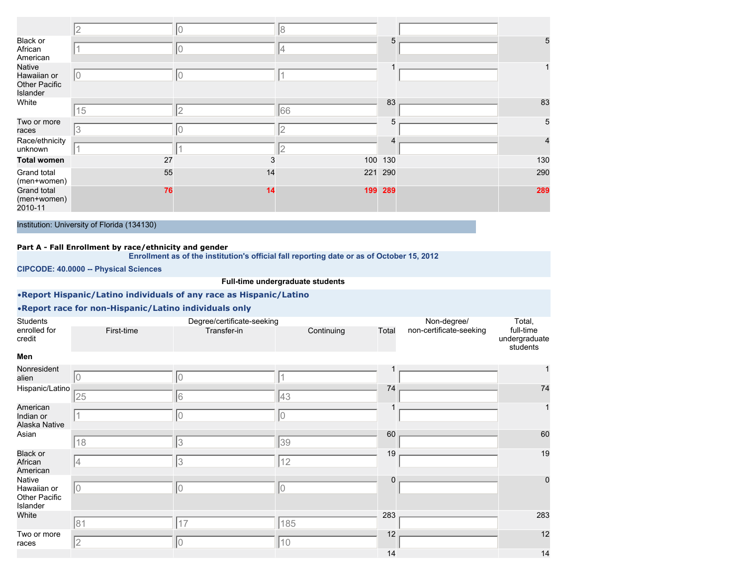|                                                    |    |    | 18  |         |     |
|----------------------------------------------------|----|----|-----|---------|-----|
| Black or<br>African<br>American                    |    | IО | 4   | 5       | 5   |
| Native<br>Hawaiian or<br>Other Pacific<br>Islander | 10 | 10 |     |         |     |
| White                                              | 15 | l2 | 66  | 83      | 83  |
| Two or more<br>races                               | 3  |    |     | 5       | 5   |
| Race/ethnicity<br>unknown                          |    |    |     |         | 4   |
| <b>Total women</b>                                 | 27 | 3  |     | 100 130 | 130 |
| Grand total<br>(men+women)                         | 55 | 14 |     | 221 290 | 290 |
| Grand total<br>(men+women)<br>2010-11              | 76 | 14 | 199 | 289     | 289 |

## **Part A - Fall Enrollment by race/ethnicity and gender**

**Enrollment as of the institution's official fall reporting date or as of October 15, 2012**

**CIPCODE: 40.0000 -- Physical Sciences**

**Full-time undergraduate students**

## •**Report Hispanic/Latino individuals of any race as Hispanic/Latino**

| <b>Students</b><br>enrolled for<br>credit                 | First-time | Degree/certificate-seeking<br>Transfer-in | Continuing   | Total    | Non-degree/<br>non-certificate-seeking | Total,<br>full-time<br>undergraduate<br>students |
|-----------------------------------------------------------|------------|-------------------------------------------|--------------|----------|----------------------------------------|--------------------------------------------------|
| Men                                                       |            |                                           |              |          |                                        |                                                  |
| Nonresident<br>alien                                      | I۵         |                                           |              |          |                                        | 1                                                |
| Hispanic/Latino                                           | 25         | 6                                         | 43           | 74       |                                        | 74                                               |
| American<br>Indian or<br>Alaska Native                    |            |                                           | 10           |          |                                        | $\mathbf 1$                                      |
| Asian                                                     | 18         | 3                                         | 39           | 60       |                                        | 60                                               |
| <b>Black or</b><br>African<br>American                    | 14         | 3                                         | 12           | 19       |                                        | 19                                               |
| Native<br>Hawaiian or<br><b>Other Pacific</b><br>Islander | 0          | 0                                         | 10           | $\Omega$ |                                        | $\mathbf 0$                                      |
| White                                                     | 81         | 17                                        | 185          | 283      |                                        | 283                                              |
| Two or more<br>races                                      | 2          | 0                                         | $ 10\rangle$ | 12       |                                        | 12                                               |
|                                                           |            |                                           |              | 14       |                                        | 14                                               |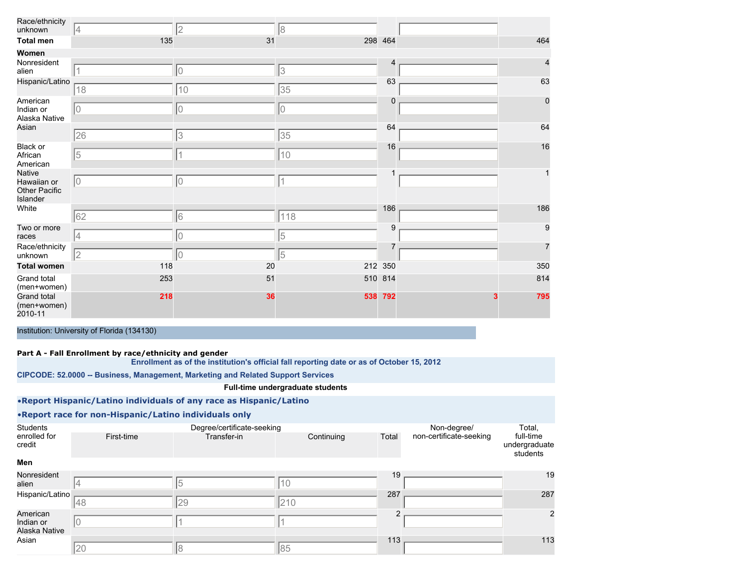| Race/ethnicity<br>unknown                                 | 14          | 2           | 18             |                |                |
|-----------------------------------------------------------|-------------|-------------|----------------|----------------|----------------|
| <b>Total men</b>                                          | 135         | 31          |                | 298 464        | 464            |
| Women                                                     |             |             |                |                |                |
| Nonresident<br>alien                                      |             | 10          | 3              | 4              | 4              |
| Hispanic/Latino                                           | 18          | 10          | 35             | 63             | 63             |
| American<br>Indian or<br>Alaska Native                    | 10          | 10          | $\overline{0}$ | 0              | $\pmb{0}$      |
| Asian                                                     | 26          | 3           | 35             | 64             | 64             |
| Black or<br>African<br>American                           | $\sqrt{5}$  | 1           | 10             | 16             | 16             |
| <b>Native</b><br>Hawaiian or<br>Other Pacific<br>Islander | $ 0\rangle$ | $ 0\rangle$ | 1              | 1              | $\mathbf{1}$   |
| White                                                     | 62          | 6           | 118            | 186            | 186            |
| Two or more<br>races                                      | 4           | $ 0\rangle$ | 5              | 9              | 9              |
| Race/ethnicity<br>unknown                                 | 2           | $ 0\rangle$ | 5              | $\overline{7}$ | $\overline{7}$ |
| <b>Total women</b>                                        | 118         | 20          |                | 212 350        | 350            |
| Grand total<br>(men+women)                                | 253         | 51          |                | 510 814        | 814            |
| Grand total<br>(men+women)<br>2010-11                     | 218         | 36          |                | 538 792        | 795            |

#### **Part A - Fall Enrollment by race/ethnicity and gender**

**Enrollment as of the institution's official fall reporting date or as of October 15, 2012**

**CIPCODE: 52.0000 -- Business, Management, Marketing and Related Support Services**

## **Full-time undergraduate students**

## •**Report Hispanic/Latino individuals of any race as Hispanic/Latino**

| Students                               |            | Degree/certificate-seeking |            |       | Non-degree/             | Total,                                 |
|----------------------------------------|------------|----------------------------|------------|-------|-------------------------|----------------------------------------|
| enrolled for<br>credit                 | First-time | Transfer-in                | Continuing | Total | non-certificate-seeking | full-time<br>undergraduate<br>students |
| Men                                    |            |                            |            |       |                         |                                        |
| Nonresident<br>alien                   |            | $\overline{5}$             | 10         | 19    |                         | 19                                     |
| Hispanic/Latino                        | 48         | 29                         | 210        | 287   |                         | 287                                    |
| American<br>Indian or<br>Alaska Native | ΙU         |                            |            |       |                         | $\overline{2}$                         |
| Asian                                  | 20         | 18                         | 85         | 113   |                         | 113                                    |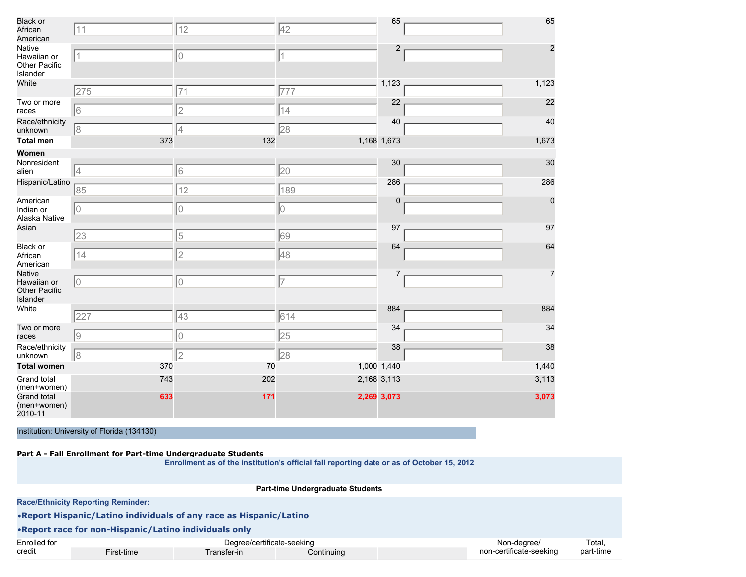| Black or<br>African<br>American                    | 11          | 12             | 42                       | 65             | 65             |
|----------------------------------------------------|-------------|----------------|--------------------------|----------------|----------------|
| Native<br>Hawaiian or<br>Other Pacific<br>Islander | $\mathbf 1$ | 10             | $\overline{\mathcal{L}}$ | $\overline{2}$ | $\overline{c}$ |
| White                                              | 275         | 71             | 777                      | 1,123          | 1,123          |
| Two or more<br>races                               | 6           | $\overline{c}$ | 14                       | 22             | 22             |
| Race/ethnicity<br>unknown                          | 18          | 4              | 28                       | 40             | 40             |
| <b>Total men</b>                                   | 373         | 132            |                          | 1,168 1,673    | 1,673          |
| Women                                              |             |                |                          |                |                |
| Nonresident<br>alien                               | 4           | 6              | 20                       | 30             | 30             |
| Hispanic/Latino                                    | 85          | 12             | 189                      | 286            | 286            |
| American<br>Indian or<br>Alaska Native             | 0           | 10             | 0                        | $\mathbf 0$    | $\mathbf 0$    |
| Asian                                              | 23          | 5              | 69                       | 97             | 97             |
| Black or<br>African<br>American                    | 14          | 2              | 48                       | 64             | 64             |
| Native<br>Hawaiian or<br>Other Pacific<br>Islander | $ 0\rangle$ | 0              | $\overline{7}$           | 7              | $\overline{7}$ |
| White                                              | 227         | 43             | 614                      | 884            | 884            |
| Two or more<br>races                               | 9           | 0              | 25                       | 34             | 34             |
| Race/ethnicity<br>unknown                          | 18          | 2              | 28                       | 38             | 38             |
| <b>Total women</b>                                 | 370         | 70             |                          | 1,000 1,440    | 1,440          |
| Grand total<br>(men+women)                         | 743         | 202            |                          | 2,168 3,113    | 3,113          |
| <b>Grand total</b><br>(men+women)<br>2010-11       | 633         | 171            |                          | 2,269 3,073    | 3,073          |

#### **Part A - Fall Enrollment for Part-time Undergraduate Students**

|              | <b>Part-time Undergraduate Students</b>                            |             |            |  |                         |           |  |  |  |
|--------------|--------------------------------------------------------------------|-------------|------------|--|-------------------------|-----------|--|--|--|
|              | <b>Race/Ethnicity Reporting Reminder:</b>                          |             |            |  |                         |           |  |  |  |
|              | .Report Hispanic/Latino individuals of any race as Hispanic/Latino |             |            |  |                         |           |  |  |  |
|              | • Report race for non-Hispanic/Latino individuals only             |             |            |  |                         |           |  |  |  |
| Enrolled for | Degree/certificate-seeking                                         |             |            |  | Non-degree/             | Total.    |  |  |  |
| credit       | First-time                                                         | Transfer-in | Continuing |  | non-certificate-seeking | part-time |  |  |  |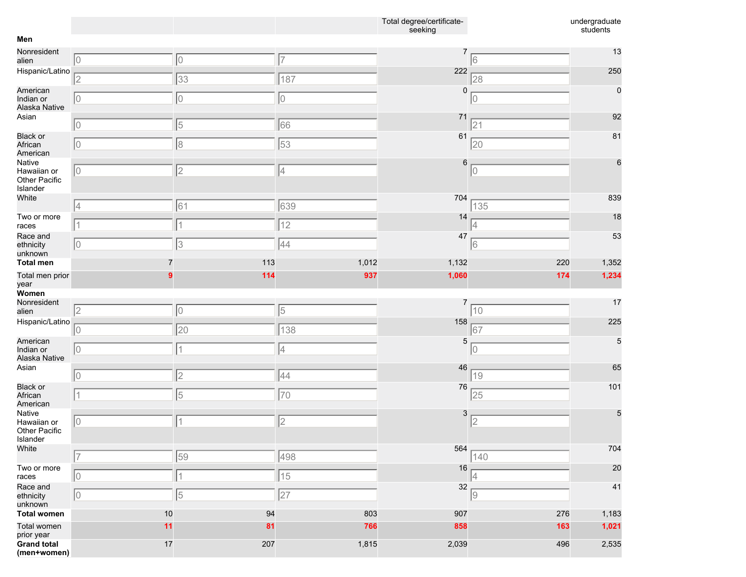|                                                    |             |                |       | Total degree/certificate-<br>seeking |     | undergraduate<br>students |
|----------------------------------------------------|-------------|----------------|-------|--------------------------------------|-----|---------------------------|
| Men                                                |             |                |       |                                      |     |                           |
| Nonresident<br>alien                               | $ 0\rangle$ | $ 0\rangle$    | 17    |                                      | 16  | 13                        |
| Hispanic/Latino                                    | 2           | 33             | 187   | 222                                  | 28  | 250                       |
| American<br>Indian or<br>Alaska Native             | $ 0\rangle$ | 10             | 10    | 0                                    | 0   | $\mathbf 0$               |
| Asian                                              | $ 0\rangle$ | 5              | 66    | 71                                   | 21  | 92                        |
| <b>Black or</b><br>African<br>American             | 10          | 18             | 53    | 61                                   | 20  | 81                        |
| Native<br>Hawaiian or<br>Other Pacific<br>Islander | 10          | $\overline{2}$ | 4     | 6                                    | 10  | 6                         |
| White                                              | 4           | 61             | 639   | 704                                  | 135 | 839                       |
| Two or more<br>races                               |             |                | 12    | 14                                   |     | 18                        |
| Race and<br>ethnicity<br>unknown                   | 10          | 3              | 44    | 47                                   | 16  | 53                        |
| <b>Total men</b>                                   |             | 113            | 1,012 | 1,132                                | 220 | 1,352                     |
| Total men prior<br>year                            |             | 114            | 937   | 1,060                                | 174 | 1,234                     |
| Women                                              |             |                |       |                                      |     |                           |
| Nonresident<br>alien                               | 2           | 10             | 5     | 7                                    | 10  | 17                        |
| Hispanic/Latino                                    | 0           | 20             | 138   | 158                                  | 67  | 225                       |
| American<br>Indian or<br>Alaska Native             | $ 0\rangle$ | 1              | 4     | 5                                    | 10  | 5                         |
| Asian                                              | $ 0\rangle$ | $\overline{2}$ | 44    | 46                                   | 19  | 65                        |
| <b>Black or</b><br>African<br>American             | 11          | 5              | 70    | 76                                   | 25  | 101                       |
| Native<br>Hawaiian or<br>Other Pacific<br>Islander | 10          | 1              | 2     | 3                                    | 2   | 5                         |
| White                                              | 17          | 59             | 498   | 564                                  | 140 | 704                       |
| Two or more<br>races                               | $ 0\rangle$ | 1              | 15    | 16                                   | 4   | 20                        |
| Race and<br>ethnicity<br>unknown                   | 10          | 5              | 27    | 32                                   | 9   | 41                        |
| <b>Total women</b>                                 | 10          | 94             | 803   | 907                                  | 276 | 1,183                     |
| Total women<br>prior year                          | 11          | 81             | 766   | 858                                  | 163 | 1,021                     |
| <b>Grand total</b><br>(men+women)                  | 17          | 207            | 1,815 | 2,039                                | 496 | 2,535                     |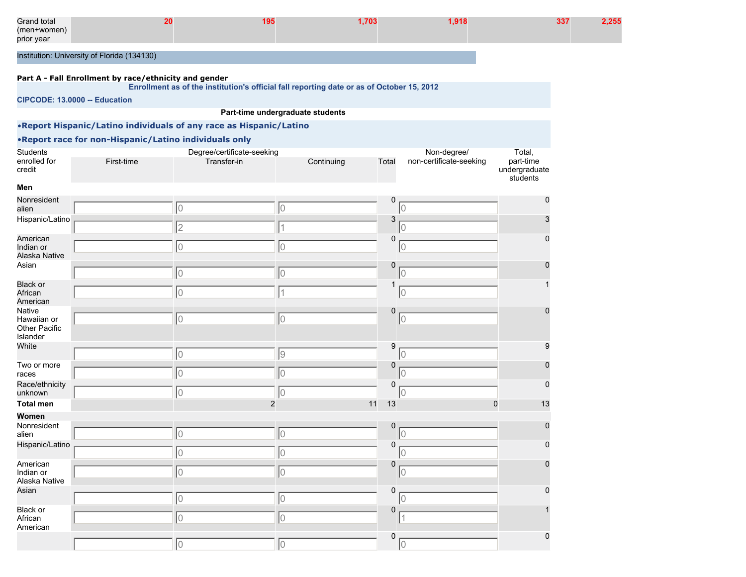| Grand total |                                             | -703 | .918 | 337 |  |
|-------------|---------------------------------------------|------|------|-----|--|
| (men+women) |                                             |      |      |     |  |
| prior year  |                                             |      |      |     |  |
|             |                                             |      |      |     |  |
|             | Institution: University of Florida (134130) |      |      |     |  |

#### **Part A - Fall Enrollment by race/ethnicity and gender**

**Enrollment as of the institution's official fall reporting date or as of October 15, 2012**

**CIPCODE: 13.0000 -- Education**

## **Part-time undergraduate students**

## •**Report Hispanic/Latino individuals of any race as Hispanic/Latino**

| <b>Students</b>                                    |            | Degree/certificate-seeking |                |                  | Non-degree/             | Total,                                 |
|----------------------------------------------------|------------|----------------------------|----------------|------------------|-------------------------|----------------------------------------|
| enrolled for<br>credit                             | First-time | Transfer-in                | Continuing     | Total            | non-certificate-seeking | part-time<br>undergraduate<br>students |
| Men                                                |            |                            |                |                  |                         |                                        |
| Nonresident<br>alien                               |            | 10                         | 10             | $\mathbf 0$      | $\overline{0}$          | 0                                      |
| Hispanic/Latino                                    |            | $\overline{2}$             |                | 3                | $\overline{0}$          |                                        |
| American<br>Indian or<br>Alaska Native             |            | 10                         | 10             | $\mathbf 0$      | 0                       | 0                                      |
| Asian                                              |            | 10                         | 10             | $\mathbf 0$      | $\overline{0}$          | 0                                      |
| <b>Black or</b><br>African<br>American             |            | lo                         | $\vert$ 1      | 1                | $\overline{0}$          |                                        |
| Native<br>Hawaiian or<br>Other Pacific<br>Islander |            | 10                         | 10             | $\mathbf 0$      | $\overline{0}$          |                                        |
| White                                              |            | 10                         | 9              | $\boldsymbol{9}$ | $\overline{0}$          | 9                                      |
| Two or more<br>races                               |            | 10                         | 10             | $\mathbf 0$      | $\overline{0}$          | 0                                      |
| Race/ethnicity<br>unknown                          |            | 0                          | 10             | 0                | $\overline{0}$          | $\Omega$                               |
| <b>Total men</b>                                   |            |                            | $\overline{c}$ | 11<br>13         |                         | $\overline{0}$<br>13                   |
| Women                                              |            |                            |                |                  |                         |                                        |
| Nonresident<br>alien                               |            | 10                         | 10             | $\mathbf 0$      | $\overline{0}$          | $\Omega$                               |
| Hispanic/Latino                                    |            | 10                         | 10             | $\mathbf 0$      | $\mathbf 0$             | 0                                      |
| American<br>Indian or<br>Alaska Native             |            | 10                         | 10             | $\mathbf 0$      | $\mathbf 0$             | $\Omega$                               |
| Asian                                              |            | 10                         | 10             | $\mathbf 0$      | $\overline{0}$          | $\Omega$                               |
| Black or<br>African<br>American                    |            | 10                         | 10             | $\mathbf 0$      |                         |                                        |
|                                                    |            | 10                         | 0              | $\mathbf 0$      | $\mathbf 0$             | 0                                      |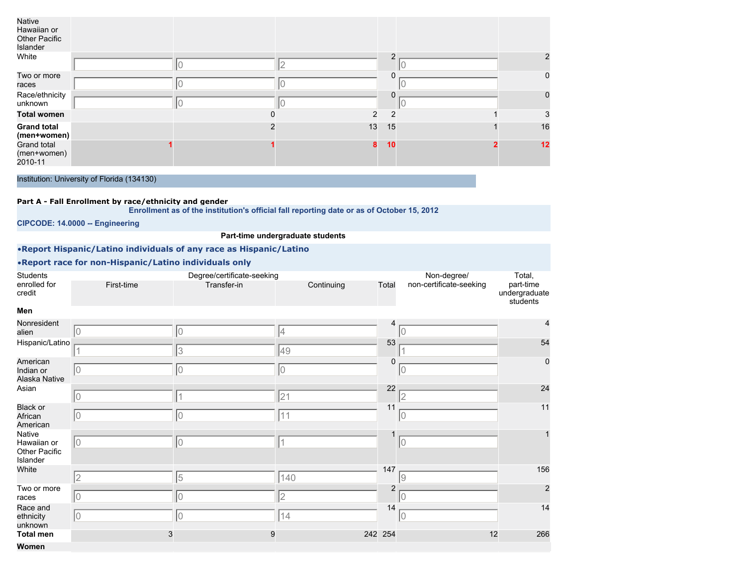| Native<br>Hawaiian or<br>Other Pacific<br>Islander |          |                |                |                |
|----------------------------------------------------|----------|----------------|----------------|----------------|
| White                                              |          |                | ົ              | $\overline{2}$ |
| Two or more<br>races                               |          |                |                | $\mathbf 0$    |
| Race/ethnicity<br>unknown                          |          |                |                | $\mathbf 0$    |
| Total women                                        | $\Omega$ | $\overline{2}$ | $\overline{2}$ | 3              |
| <b>Grand total</b><br>(men+women)                  |          | 13             | 15             | 16             |
| Grand total<br>(men+women)<br>2010-11              |          | 8              | 10             | 12             |

#### **Part A - Fall Enrollment by race/ethnicity and gender**

**Enrollment as of the institution's official fall reporting date or as of October 15, 2012**

**CIPCODE: 14.0000 -- Engineering**

## **Part-time undergraduate students**

## •**Report Hispanic/Latino individuals of any race as Hispanic/Latino**

| Students                                           |            | Degree/certificate-seeking |            |                | Non-degree/             | Total,                                 |
|----------------------------------------------------|------------|----------------------------|------------|----------------|-------------------------|----------------------------------------|
| enrolled for<br>credit                             | First-time | Transfer-in                | Continuing | Total          | non-certificate-seeking | part-time<br>undergraduate<br>students |
| Men                                                |            |                            |            |                |                         |                                        |
| Nonresident<br>alien                               | 10         | 10                         | 14         | 4              | 0                       | 4                                      |
| Hispanic/Latino                                    |            | 3                          | 49         | 53             |                         | 54                                     |
| American<br>Indian or<br>Alaska Native             | 10         | 10                         | 10         | 0              | 10                      | $\pmb{0}$                              |
| Asian                                              | 10         | $\overline{A}$             | 21         | 22             | $\overline{2}$          | 24                                     |
| <b>Black or</b><br>African<br>American             | 10         | 10                         | 11         | 11             | 0                       | 11                                     |
| Native<br>Hawaiian or<br>Other Pacific<br>Islander | Iо         | 10                         | 1          |                | 0                       | 1                                      |
| White                                              | 2          | 5                          | 140        | 147            | 9                       | 156                                    |
| Two or more<br>races                               | 10         | lo                         | 2          | $\overline{2}$ | $\Omega$                | $\overline{2}$                         |
| Race and<br>ethnicity<br>unknown                   | 10         | 10                         | 14         | 14             | 10                      | 14                                     |
| <b>Total men</b>                                   | 3          | 9                          |            | 242 254        | 12                      | 266                                    |
| Women                                              |            |                            |            |                |                         |                                        |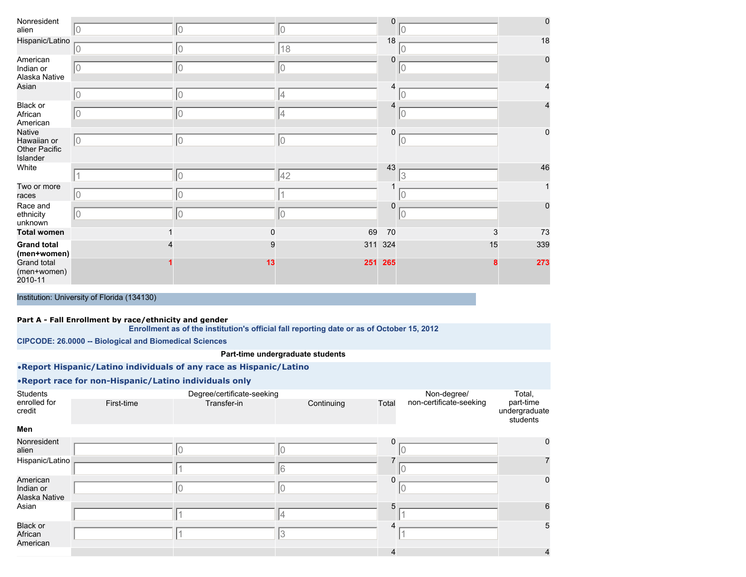| Nonresident<br>alien                                             | 10                                                            | 10                                                                                        | 10                               | 0           | IО | $\mathbf 0$    |
|------------------------------------------------------------------|---------------------------------------------------------------|-------------------------------------------------------------------------------------------|----------------------------------|-------------|----|----------------|
| Hispanic/Latino                                                  |                                                               |                                                                                           |                                  | 18          |    | 18             |
| American                                                         | 10                                                            | 10                                                                                        | 18                               | $\mathbf 0$ | ΙO | $\mathbf 0$    |
| Indian or<br>Alaska Native                                       | 10                                                            | 10                                                                                        | Iо                               |             | 0  |                |
| Asian                                                            | 10                                                            | $\mathsf{O}$                                                                              | 4                                | 4           | 10 | 4              |
| Black or<br>African<br>American                                  | 10                                                            | 0                                                                                         | 4                                | 4           | 0  | $\overline{4}$ |
| <b>Native</b><br>Hawaiian or<br><b>Other Pacific</b><br>Islander | 10                                                            | 10                                                                                        | 10                               | 0           | 0  | 0              |
| White                                                            | $\overline{1}$                                                | $ 0\rangle$                                                                               | 42                               | 43          | 13 | 46             |
| Two or more<br>races                                             | 10                                                            | 10                                                                                        |                                  |             | 10 | 1              |
| Race and<br>ethnicity<br>unknown                                 | 10                                                            | $\overline{0}$                                                                            | 10                               | 0           | 0  | $\mathbf 0$    |
| <b>Total women</b>                                               |                                                               | 0                                                                                         | 69                               | 70          |    | 3<br>73        |
| <b>Grand total</b><br>(men+women)                                |                                                               | 9                                                                                         |                                  | 311 324     | 15 | 339            |
| Grand total<br>(men+women)<br>2010-11                            |                                                               | 13                                                                                        | 251                              | 265         |    | 273            |
|                                                                  | Institution: University of Florida (134130)                   |                                                                                           |                                  |             |    |                |
|                                                                  | Part A - Fall Enrollment by race/ethnicity and gender         |                                                                                           |                                  |             |    |                |
|                                                                  |                                                               | Enrollment as of the institution's official fall reporting date or as of October 15, 2012 |                                  |             |    |                |
|                                                                  | <b>CIPCODE: 26.0000 -- Biological and Biomedical Sciences</b> |                                                                                           |                                  |             |    |                |
|                                                                  |                                                               |                                                                                           | Part-time undergraduate students |             |    |                |
|                                                                  |                                                               | .Report Hispanic/Latino individuals of any race as Hispanic/Latino                        |                                  |             |    |                |

| <b>Students</b>         |            | Degree/certificate-seeking |            |       |                         | Total,                                 |
|-------------------------|------------|----------------------------|------------|-------|-------------------------|----------------------------------------|
| enrolled for<br>credit  | First-time | Transfer-in                | Continuing | Total | non-certificate-seeking | part-time<br>undergraduate<br>students |
| Men                     |            |                            |            |       |                         |                                        |
| Nonresident             |            |                            |            |       |                         | $\Omega$                               |
| alien                   |            |                            |            |       |                         |                                        |
| Hispanic/Latino         |            |                            |            |       |                         |                                        |
|                         |            |                            |            |       |                         |                                        |
| American                |            |                            |            |       |                         | <sup>0</sup>                           |
| المحامل ومراجع فالمراجع |            |                            |            |       |                         |                                        |

|                                        |  | ⋯ | " |              |
|----------------------------------------|--|---|---|--------------|
| American<br>Indian or<br>Alaska Native |  |   |   |              |
| Asian                                  |  |   |   |              |
| Black or<br>African<br>American        |  |   |   |              |
|                                        |  |   |   | $\mathbf{u}$ |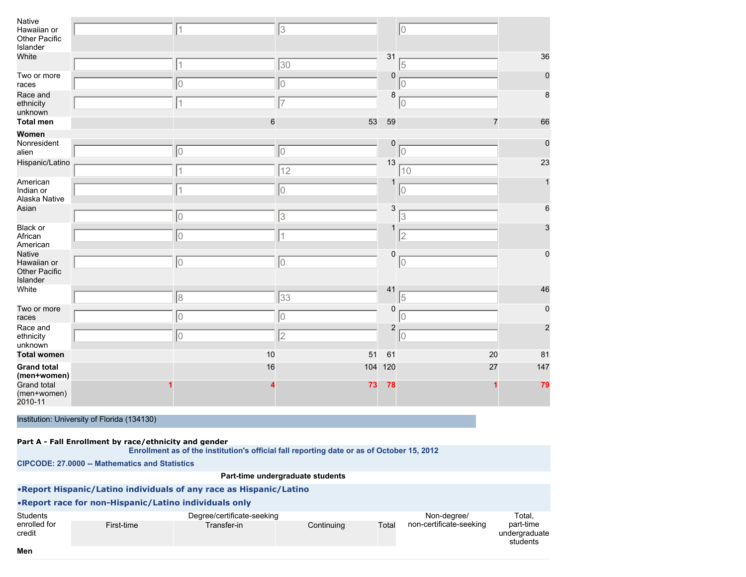| Native<br>Hawaiian or<br>Other Pacific<br>Islander<br>White | $\overline{1}$ | 3  |            | 31                        | $ 0\rangle$    | 36             |
|-------------------------------------------------------------|----------------|----|------------|---------------------------|----------------|----------------|
| Two or more                                                 | 1              | 30 |            | 0                         | 5              | $\mathbf{0}$   |
| races                                                       | 10             | 10 |            |                           | 10             |                |
| Race and<br>ethnicity<br>unknown                            | 1              | 7  |            | 8                         | $ 0\rangle$    | 8              |
| <b>Total men</b>                                            | 6              |    | 53         | 59                        | $\overline{7}$ | 66             |
| Women<br>Nonresident                                        |                |    |            | $\mathbf 0$               |                | $\mathbf 0$    |
| alien                                                       | $\overline{0}$ | 10 |            |                           | $ 0\rangle$    |                |
| Hispanic/Latino                                             | 1              | 12 |            | 13                        | 10             | 23             |
| American<br>Indian or<br>Alaska Native                      | $\overline{1}$ | 10 |            |                           | 10             |                |
| Asian                                                       | 10             | 3  |            | $\ensuremath{\mathsf{3}}$ | 3              | 6              |
| Black or<br>African<br>American                             | 0              | 11 |            |                           | 2              | 3              |
| <b>Native</b><br>Hawaiian or<br>Other Pacific<br>Islander   | 0              | 10 |            | 0                         | $ 0\rangle$    | 0              |
| White                                                       | 8              | 33 |            | 41                        | 5              | 46             |
| Two or more<br>races                                        | 0              | 10 |            | $\mathbf 0$               | 10             | 0              |
| Race and<br>ethnicity<br>unknown                            | 0              | 2  |            | $\overline{2}$            | $ 0\rangle$    | $\overline{2}$ |
| <b>Total women</b>                                          | 10             |    | 51         | 61                        | 20             | 81             |
| <b>Grand total</b><br>(men+women)                           | 16             |    | 104<br>120 |                           | 27             | 147            |
| Grand total<br>(men+women)<br>2010-11                       |                |    | 73         | 78                        |                | 79             |

| Part A - Fall Enrollment by race/ethnicity and gender |  |  |
|-------------------------------------------------------|--|--|
|                                                       |  |  |

**Enrollment as of the institution's official fall reporting date or as of October 15, 2012**

**CIPCODE: 27.0000 -- Mathematics and Statistics**

#### **Part-time undergraduate students**

Total, part-time undergraduate students

•**Report Hispanic/Latino individuals of any race as Hispanic/Latino** •**Report race for non-Hispanic/Latino individuals only Students** enrolled for credit Degree/certificate-seeking First-time **Transfer-in** Continuing Total Non-degree/ non-certificate-seeking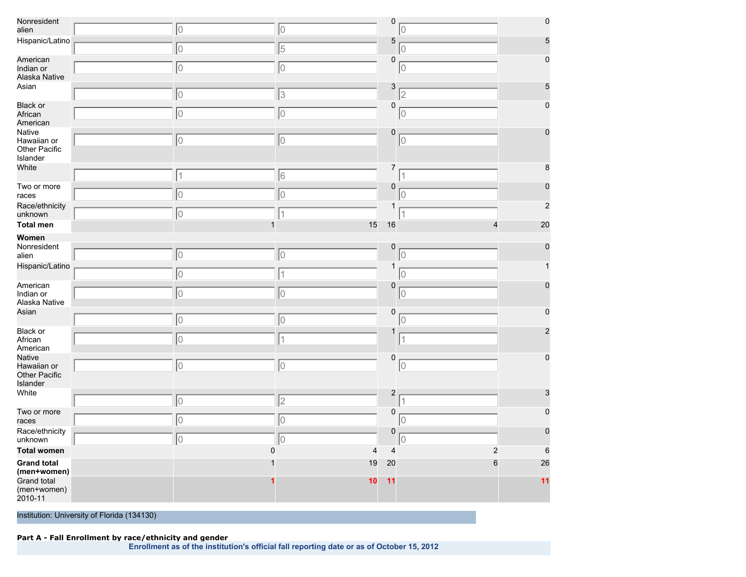| Nonresident<br>alien                                      | $\overline{0}$           | 10             | $\pmb{0}$                        | 0                | $\pmb{0}$       |
|-----------------------------------------------------------|--------------------------|----------------|----------------------------------|------------------|-----------------|
| Hispanic/Latino                                           | $\overline{0}$           | 5              | 5                                | 10               | 5               |
| American<br>Indian or<br>Alaska Native                    | $\circ$                  | 0              | $\mathbf 0$                      | 0                | 0               |
| Asian                                                     | $\circ$                  | 3              | 3                                | $\overline{2}$   | 5               |
| <b>Black or</b><br>African<br>American                    | $\overline{0}$           | 10             | 0                                | 10               | $\Omega$        |
| Native<br>Hawaiian or<br>Other Pacific<br>Islander        | 0                        | 0              | 0                                | 10               | 0               |
| White                                                     | $\overline{\mathcal{L}}$ | 6              | 7                                |                  | 8               |
| Two or more<br>races                                      | $\overline{0}$           | 0              | $\mathbf 0$                      | O                |                 |
| Race/ethnicity<br>unknown                                 | 10                       | 1              | 1                                | 1                | $\overline{c}$  |
| <b>Total men</b>                                          | $\mathbf{1}$             | 15             | 16                               | 4                | 20              |
| Women                                                     |                          |                |                                  |                  |                 |
| Nonresident<br>alien                                      | $\overline{0}$           | 10             | 0                                | 10               |                 |
| Hispanic/Latino                                           | $\overline{0}$           | $\mathbf 1$    | 1                                | 10               |                 |
| American<br>Indian or<br>Alaska Native                    | $\overline{0}$           | 0              | 0                                | 10               |                 |
| Asian                                                     | $\overline{0}$           | 10             | 0                                | 10               |                 |
| Black or<br>African<br>American                           | 0                        | $\mathbf 1$    | 1                                | $\overline{1}$   | 2               |
| Native<br>Hawaiian or<br><b>Other Pacific</b><br>Islander | $\overline{0}$           | 0              | 0                                | 10               | $\mathbf 0$     |
| White                                                     | $\overline{0}$           | $\overline{2}$ | $\boldsymbol{2}$                 |                  | 3               |
| Two or more<br>races                                      | $\overline{0}$           | 10             | $\mathbf 0$                      | 0                | $\Omega$        |
| Race/ethnicity<br>unknown                                 | $\overline{0}$           | 10             | $\mathbf 0$                      | 10               | $\Omega$        |
| <b>Total women</b>                                        | $\mathbf 0$              |                | $\overline{4}$<br>$\overline{4}$ | $\boldsymbol{2}$ | $6\phantom{1}6$ |
| <b>Grand total</b><br>(men+women)                         |                          | 19             | 20                               | $6\phantom{1}6$  | 26              |
| Grand total<br>(men+women)<br>2010-11                     |                          | 10             | 11                               |                  | 11              |

## **Part A - Fall Enrollment by race/ethnicity and gender**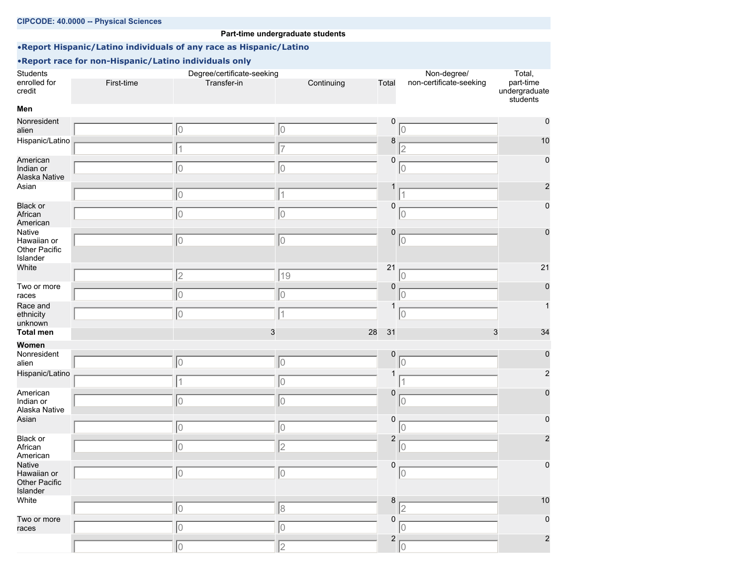|                                                           | CIPCODE: 40.0000 -- Physical Sciences                  |                                                                    |                                  |                         |                                        |                                                  |
|-----------------------------------------------------------|--------------------------------------------------------|--------------------------------------------------------------------|----------------------------------|-------------------------|----------------------------------------|--------------------------------------------------|
|                                                           |                                                        |                                                                    | Part-time undergraduate students |                         |                                        |                                                  |
|                                                           |                                                        | .Report Hispanic/Latino individuals of any race as Hispanic/Latino |                                  |                         |                                        |                                                  |
|                                                           | . Report race for non-Hispanic/Latino individuals only |                                                                    |                                  |                         |                                        |                                                  |
| <b>Students</b><br>enrolled for<br>credit                 | First-time                                             | Degree/certificate-seeking<br>Transfer-in                          | Continuing                       | Total                   | Non-degree/<br>non-certificate-seeking | Total,<br>part-time<br>undergraduate<br>students |
| Men                                                       |                                                        |                                                                    |                                  |                         |                                        |                                                  |
| Nonresident<br>alien                                      |                                                        | 10                                                                 | 0                                | 0                       | 10                                     | 0                                                |
| Hispanic/Latino                                           |                                                        |                                                                    | 7                                | 8                       | $\overline{2}$                         | 10                                               |
| American<br>Indian or<br>Alaska Native                    |                                                        | 10                                                                 | 10                               | 0                       | 10                                     | 0                                                |
| Asian                                                     |                                                        | 10                                                                 | 1                                |                         |                                        | 2                                                |
| <b>Black or</b><br>African<br>American                    |                                                        | 10                                                                 | 10                               | 0                       | 10                                     | 0                                                |
| Native<br>Hawaiian or<br>Other Pacific<br>Islander        |                                                        | 10                                                                 | 0                                | 0                       | 10                                     | 0                                                |
| White                                                     |                                                        | 2                                                                  | 19                               | 21                      | 10                                     | 21                                               |
| Two or more<br>races                                      |                                                        | 0                                                                  | 10                               | 0                       | 0                                      | 0                                                |
| Race and<br>ethnicity<br>unknown                          |                                                        | 10                                                                 |                                  | 1                       | 10                                     | 1                                                |
| <b>Total men</b>                                          |                                                        | 3                                                                  |                                  | 28<br>31                | 3                                      | 34                                               |
| Women                                                     |                                                        |                                                                    |                                  |                         |                                        |                                                  |
| Nonresident<br>alien                                      |                                                        | 10                                                                 | 10                               | 0                       | 10                                     | 0                                                |
| Hispanic/Latino                                           |                                                        | 1                                                                  | 10                               | 1                       |                                        | 2                                                |
| American<br>Indian or<br>Alaska Native                    |                                                        | 10                                                                 | 10                               | 0                       | 0                                      | 0                                                |
| Asian                                                     |                                                        | 10                                                                 | 0                                | 0                       | 0                                      | 0                                                |
| Black or<br>African<br>American                           |                                                        | 10                                                                 | 2                                | $\overline{c}$          | $\overline{0}$                         | 2                                                |
| Native<br>Hawaiian or<br><b>Other Pacific</b><br>Islander |                                                        | 10                                                                 | 10                               | 0                       | $ 0\rangle$                            | 0                                                |
| White                                                     |                                                        | 10                                                                 | 8                                | 8                       | $\overline{2}$                         | 10                                               |
| Two or more<br>races                                      |                                                        | 10                                                                 | 10                               | $\mathbf 0$             | 10                                     | 0                                                |
|                                                           |                                                        | 10                                                                 | $\overline{2}$                   | $\overline{\mathbf{c}}$ | 10                                     | $\overline{\mathbf{c}}$                          |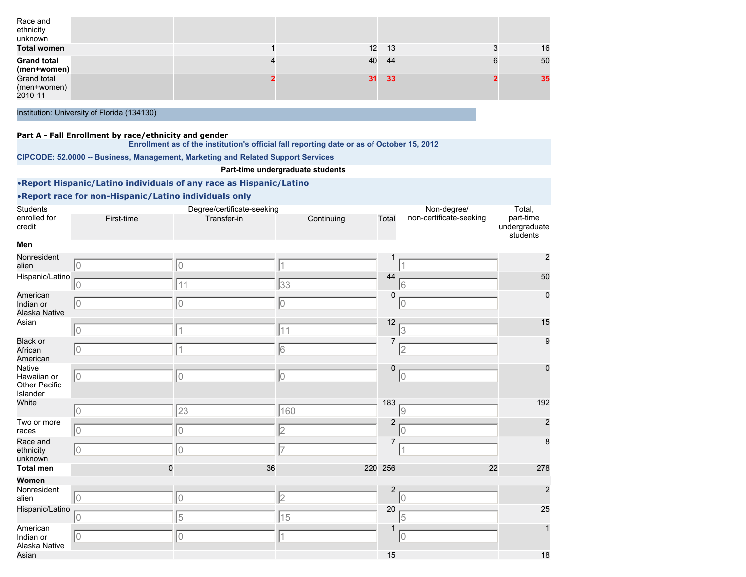| Race and<br>ethnicity<br>unknown      |  |    |     |    |
|---------------------------------------|--|----|-----|----|
| <b>Total women</b>                    |  | 12 | -13 | 16 |
| <b>Grand total</b><br>(men+women)     |  | 40 | -44 | 50 |
| Grand total<br>(men+women)<br>2010-11 |  | 31 | 33  | 35 |
|                                       |  |    |     |    |

#### **Part A - Fall Enrollment by race/ethnicity and gender**

**Enrollment as of the institution's official fall reporting date or as of October 15, 2012**

**CIPCODE: 52.0000 -- Business, Management, Marketing and Related Support Services**

#### **Part-time undergraduate students**

## •**Report Hispanic/Latino individuals of any race as Hispanic/Latino**

| Students                                           |                | Degree/certificate-seeking |                   |                         | Non-degree/             | Total,                                 |
|----------------------------------------------------|----------------|----------------------------|-------------------|-------------------------|-------------------------|----------------------------------------|
| enrolled for<br>credit                             | First-time     | Transfer-in                | Continuing        | Total                   | non-certificate-seeking | part-time<br>undergraduate<br>students |
| Men                                                |                |                            |                   |                         |                         |                                        |
| Nonresident<br>alien                               | 10             | 10                         | 1                 |                         |                         | $\overline{2}$                         |
| Hispanic/Latino                                    | 10             | 11                         | 33                | 44                      | 16                      | 50                                     |
| American<br>Indian or<br>Alaska Native             | 10             | $\overline{0}$             | 10                | 0                       | 10                      | $\mathbf 0$                            |
| Asian                                              | 10             | 1                          | 11                | 12                      | 13                      | 15                                     |
| <b>Black or</b><br>African<br>American             | 10             | 1                          | 6                 | 7                       | 12                      | 9                                      |
| Native<br>Hawaiian or<br>Other Pacific<br>Islander | $ 0\rangle$    | 10                         | 10                | 0                       | 0                       | $\mathbf 0$                            |
| White                                              | 10             | 23                         | 160               | 183                     | 9                       | 192                                    |
| Two or more<br>races                               | 0              | 0                          | 2                 | $\overline{2}$          | l0                      | $\overline{a}$                         |
| Race and<br>ethnicity<br>unknown                   | 10             | $\overline{0}$             | $\overline{7}$    | 7                       | 1                       | 8                                      |
| <b>Total men</b>                                   | $\mathbf 0$    | 36                         | 220               | 256                     | 22                      | 278                                    |
| Women<br>Nonresident                               |                |                            |                   | $\overline{\mathbf{c}}$ |                         | $\overline{2}$                         |
| alien<br>Hispanic/Latino                           | $\overline{0}$ | $ 0\rangle$                | 2                 | 20                      | $\overline{0}$          | 25                                     |
| American<br>Indian or                              | 10<br>10       | 5<br>10                    | 15<br>$\mathbf 1$ |                         | 15<br>$ 0\rangle$       | $\overline{1}$                         |
| Alaska Native<br>Asian                             |                |                            |                   | 15                      |                         | 18                                     |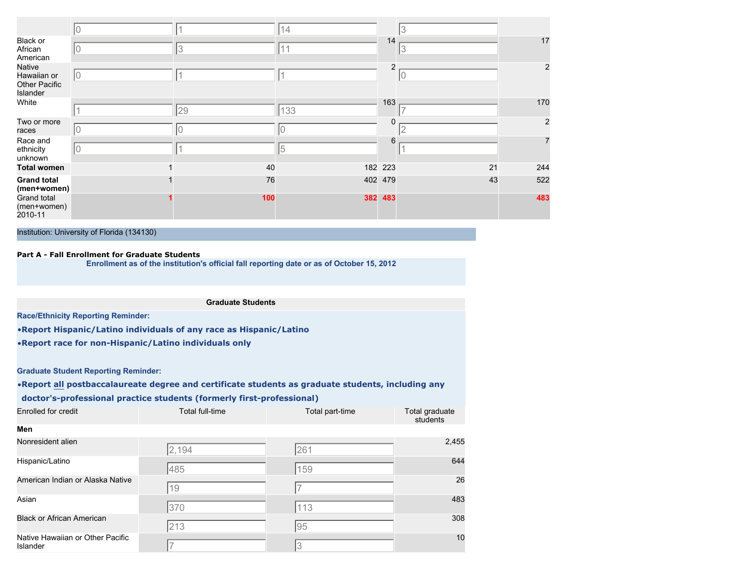|                                                    |    |     | 14      |                |             |                |
|----------------------------------------------------|----|-----|---------|----------------|-------------|----------------|
| Black or<br>African<br>American                    |    | 13  | 11      | 14             | 3           | 17             |
| Native<br>Hawaiian or<br>Other Pacific<br>Islander | 10 |     |         | $\overline{2}$ | $ 0\rangle$ | $\overline{c}$ |
| White                                              |    | 29  | 133     | 163            |             | 170            |
| Two or more<br>races                               |    |     |         | 0              | $\sim$      | $\overline{c}$ |
| Race and<br>ethnicity<br>unknown                   | IО |     | 5       | 6              |             | $\overline{7}$ |
| <b>Total women</b>                                 |    | 40  |         | 182 223        | 21          | 244            |
| <b>Grand total</b><br>(men+women)                  |    | 76  | 402 479 |                | 43          | 522            |
| Grand total<br>(men+women)<br>2010-11              |    | 100 | 382     | 483            |             | 483            |

#### **Part A - Fall Enrollment for Graduate Students**

**Enrollment as of the institution's official fall reporting date or as of October 15, 2012**

#### **Graduate Students**

**Race/Ethnicity Reporting Reminder:**

•**Report Hispanic/Latino individuals of any race as Hispanic/Latino**

•**Report race for non-Hispanic/Latino individuals only**

**Graduate Student Reporting Reminder:**

**Men**

•**Report all postbaccalaureate degree and certificate students as graduate students, including any**

#### **doctor's-professional practice students (formerly first-professional)**

| Enrolled for credit | Total full-time | Total part-time | Total graduate<br>students |
|---------------------|-----------------|-----------------|----------------------------|
|---------------------|-----------------|-----------------|----------------------------|

| Nonresident alien                            | 2,194 | 261 | 2,455 |
|----------------------------------------------|-------|-----|-------|
| Hispanic/Latino                              | 485   | 159 | 644   |
| American Indian or Alaska Native             | 19    |     | 26    |
| Asian                                        | 370   | 113 | 483   |
| <b>Black or African American</b>             | 213   | 95  | 308   |
| Native Hawaiian or Other Pacific<br>Islander |       |     | 10    |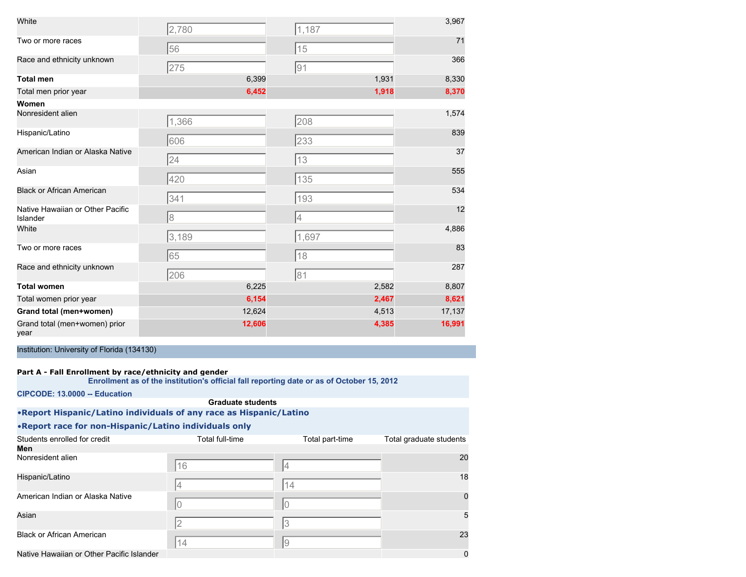| White                                        | 2,780 |        | 1,187          |       | 3,967  |
|----------------------------------------------|-------|--------|----------------|-------|--------|
| Two or more races                            | 56    |        | 15             |       | 71     |
| Race and ethnicity unknown                   | 275   |        | 91             |       | 366    |
| <b>Total men</b>                             |       | 6,399  |                | 1,931 | 8,330  |
| Total men prior year                         |       | 6,452  |                | 1,918 | 8,370  |
| Women                                        |       |        |                |       |        |
| Nonresident alien                            | 1,366 |        | 208            |       | 1,574  |
| Hispanic/Latino                              | 606   |        | 233            |       | 839    |
| American Indian or Alaska Native             | 24    |        | 13             |       | 37     |
| Asian                                        | 420   |        | 135            |       | 555    |
| <b>Black or African American</b>             | 341   |        | 193            |       | 534    |
| Native Hawaiian or Other Pacific<br>Islander | 8     |        | $\overline{4}$ |       | 12     |
| White                                        | 3,189 |        | 1,697          |       | 4,886  |
| Two or more races                            | 65    |        | 18             |       | 83     |
| Race and ethnicity unknown                   | 206   |        | 81             |       | 287    |
| <b>Total women</b>                           |       | 6,225  |                | 2,582 | 8,807  |
| Total women prior year                       |       | 6,154  |                | 2,467 | 8,621  |
| Grand total (men+women)                      |       | 12,624 |                | 4,513 | 17,137 |
| Grand total (men+women) prior<br>year        |       | 12,606 |                | 4,385 | 16,991 |

#### **Part A - Fall Enrollment by race/ethnicity and gender**

**Enrollment as of the institution's official fall reporting date or as of October 15, 2012**

**CIPCODE: 13.0000 -- Education**

| <b>Graduate students</b>                                           |                 |                 |                         |  |
|--------------------------------------------------------------------|-----------------|-----------------|-------------------------|--|
| .Report Hispanic/Latino individuals of any race as Hispanic/Latino |                 |                 |                         |  |
| . Report race for non-Hispanic/Latino individuals only             |                 |                 |                         |  |
| Students enrolled for credit                                       | Total full-time | Total part-time | Total graduate students |  |
| Men                                                                |                 |                 |                         |  |
| Nonresident alien                                                  | 16              | 4               | 20                      |  |
| Hispanic/Latino                                                    | 4               | 14              | 18                      |  |
| American Indian or Alaska Native                                   |                 | 0               |                         |  |
| Asian                                                              | 2               | 3               | 5                       |  |
| <b>Black or African American</b>                                   | 14              | 9               | 23                      |  |
| Native Hawaiian or Other Pacific Islander                          |                 |                 | 0                       |  |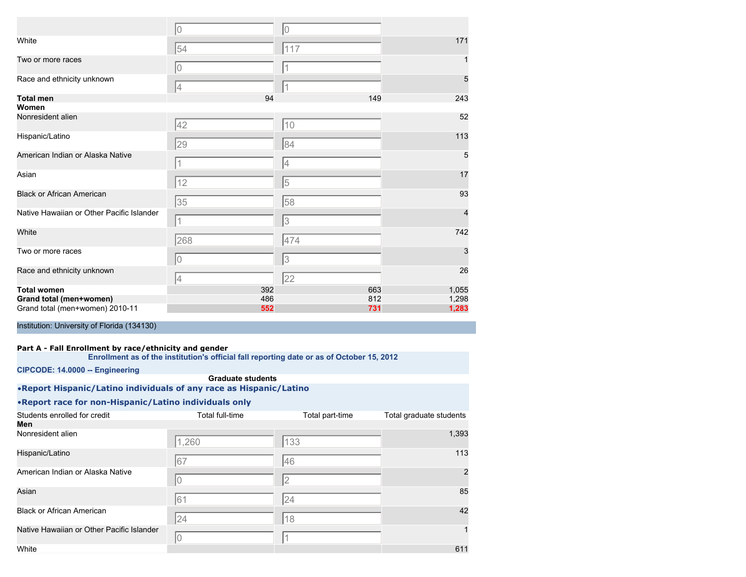|                                           | $\overline{0}$ | $\overline{0}$ |       |
|-------------------------------------------|----------------|----------------|-------|
| White                                     | 54             | 117            | 171   |
| Two or more races                         | 0              |                |       |
| Race and ethnicity unknown                | 4              |                | 5     |
| <b>Total men</b>                          | 94             | 149            | 243   |
| Women                                     |                |                |       |
| Nonresident alien                         | 42             | 10             | 52    |
| Hispanic/Latino                           | 29             | 84             | 113   |
| American Indian or Alaska Native          |                | 4              | 5     |
| Asian                                     | 12             | 5              | 17    |
| <b>Black or African American</b>          | 35             | 58             | 93    |
| Native Hawaiian or Other Pacific Islander | 1              | 3              | 4     |
| White                                     | 268            | 474            | 742   |
| Two or more races                         | 0              | 3              | 3     |
| Race and ethnicity unknown                | 4              | 22             | 26    |
| <b>Total women</b>                        | 392            | 663            | 1,055 |
| Grand total (men+women)                   | 486            | 812            | 1,298 |
| Grand total (men+women) 2010-11           | 552            | 731            | 1,283 |

## **Part A - Fall Enrollment by race/ethnicity and gender**

**Enrollment as of the institution's official fall reporting date or as of October 15, 2012**

**CIPCODE: 14.0000 -- Engineering**

#### **Graduate students**

•**Report Hispanic/Latino individuals of any race as Hispanic/Latino**

| Students enrolled for credit              | Total full-time | Total part-time | Total graduate students |
|-------------------------------------------|-----------------|-----------------|-------------------------|
| Men                                       |                 |                 |                         |
| Nonresident alien                         | 1,260           | 133             | 1,393                   |
| Hispanic/Latino                           | 67              | 146             | 113                     |
| American Indian or Alaska Native          |                 | $\overline{2}$  | $\overline{2}$          |
| Asian                                     | 161             | 24              | 85                      |
| <b>Black or African American</b>          | 24              | 18              | 42                      |
| Native Hawaiian or Other Pacific Islander | IΟ              |                 |                         |
| White                                     |                 |                 | 611                     |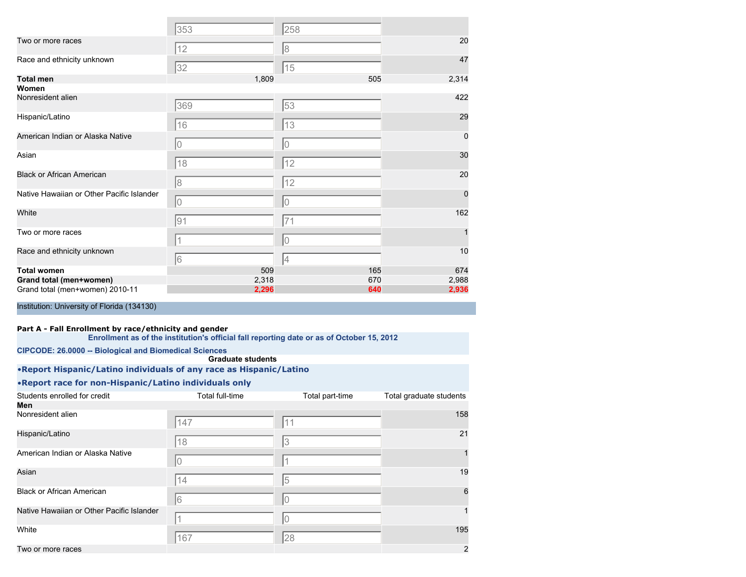|                                           | 353        | 258            |          |
|-------------------------------------------|------------|----------------|----------|
| Two or more races                         | 12         | 8              | 20       |
| Race and ethnicity unknown                | 32         | 15             | 47       |
| <b>Total men</b>                          | 1,809      | 505            | 2,314    |
| Women                                     |            |                |          |
| Nonresident alien                         | 369        | 53             | 422      |
| Hispanic/Latino                           | 16         | 13             | 29       |
| American Indian or Alaska Native          | $\bigcirc$ | $\overline{0}$ | 0        |
| Asian                                     | 18         | 12             | 30       |
| <b>Black or African American</b>          | 8          | 12             | 20       |
| Native Hawaiian or Other Pacific Islander | 10         | 0              | $\Omega$ |
| White                                     | 91         | 71             | 162      |
| Two or more races                         | 1          | $\mathbf 0$    |          |
| Race and ethnicity unknown                | 6          | 4              | 10       |
| <b>Total women</b>                        | 509        | 165            | 674      |
| Grand total (men+women)                   | 2,318      | 670            | 2,988    |
| Grand total (men+women) 2010-11           | 2,296      | 640            | 2,936    |

#### **Part A - Fall Enrollment by race/ethnicity and gender**

|                                                                    | Enrollment as of the institution's official fall reporting date or as of October 15, 2012 |                 |                         |
|--------------------------------------------------------------------|-------------------------------------------------------------------------------------------|-----------------|-------------------------|
| <b>CIPCODE: 26.0000 -- Biological and Biomedical Sciences</b>      |                                                                                           |                 |                         |
|                                                                    | <b>Graduate students</b>                                                                  |                 |                         |
| .Report Hispanic/Latino individuals of any race as Hispanic/Latino |                                                                                           |                 |                         |
| . Report race for non-Hispanic/Latino individuals only             |                                                                                           |                 |                         |
| Students enrolled for credit                                       | Total full-time                                                                           | Total part-time | Total graduate students |
| Men                                                                |                                                                                           |                 |                         |
| Nonresident alien                                                  | 147                                                                                       | 11              | 158                     |
| Hispanic/Latino                                                    | 18                                                                                        | 3               | 21                      |
| American Indian or Alaska Native                                   | 0                                                                                         |                 |                         |
| Asian                                                              | 14                                                                                        | 5               | 19                      |
| <b>Black or African American</b>                                   | 6                                                                                         | $\overline{0}$  | 6                       |
| Native Hawaiian or Other Pacific Islander                          |                                                                                           | 10              | 1                       |
| White                                                              | 167                                                                                       | 28              | 195                     |
| Two or more races                                                  |                                                                                           |                 | $\overline{2}$          |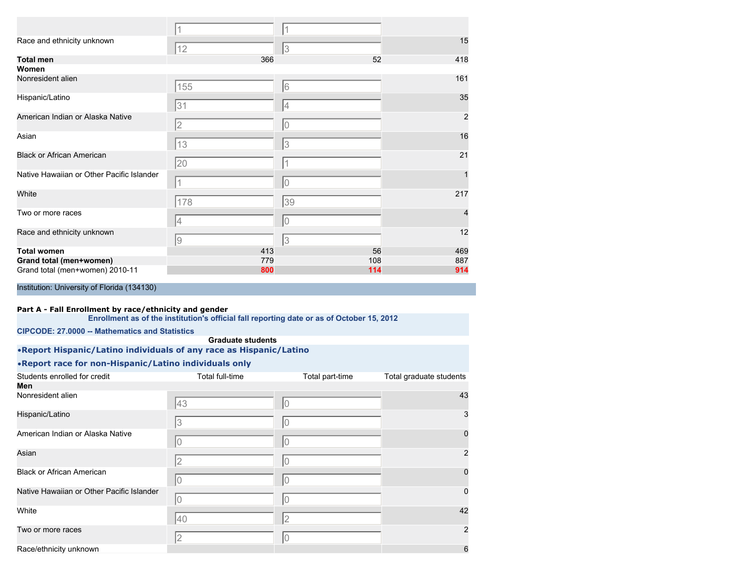| Race and ethnicity unknown                | 12                                                        | 3   | 15  |
|-------------------------------------------|-----------------------------------------------------------|-----|-----|
| <b>Total men</b>                          | 366                                                       | 52  | 418 |
| Women                                     |                                                           |     |     |
| Nonresident alien                         | 155                                                       | 6   | 161 |
| Hispanic/Latino                           | 31                                                        | 4   | 35  |
| American Indian or Alaska Native          | $\overline{2}$                                            | 0   | 2   |
| Asian                                     | 13                                                        | 3   | 16  |
| <b>Black or African American</b>          | 20                                                        | 1   | 21  |
| Native Hawaiian or Other Pacific Islander |                                                           | 10  |     |
| White                                     | 178                                                       | 39  | 217 |
| Two or more races                         | 4                                                         | 0   |     |
| Race and ethnicity unknown                | $\mathcal{G}% _{M_{1},M_{2}}^{\alpha,\beta}(\mathcal{G})$ | 3   | 12  |
| <b>Total women</b>                        | 413                                                       | 56  | 469 |
| Grand total (men+women)                   | 779                                                       | 108 | 887 |
| Grand total (men+women) 2010-11           | 800                                                       | 114 | 914 |

#### **Part A - Fall Enrollment by race/ethnicity and gender**

|                                                                    |                          | Enrollment as of the institution's official fall reporting date or as of October 15, 2012 |                         |
|--------------------------------------------------------------------|--------------------------|-------------------------------------------------------------------------------------------|-------------------------|
| <b>CIPCODE: 27,0000 -- Mathematics and Statistics</b>              |                          |                                                                                           |                         |
|                                                                    | <b>Graduate students</b> |                                                                                           |                         |
| .Report Hispanic/Latino individuals of any race as Hispanic/Latino |                          |                                                                                           |                         |
| . Report race for non-Hispanic/Latino individuals only             |                          |                                                                                           |                         |
| Students enrolled for credit                                       | Total full-time          | Total part-time                                                                           | Total graduate students |
| Men                                                                |                          |                                                                                           |                         |
| Nonresident alien                                                  | 43                       | 10                                                                                        | 43                      |
| Hispanic/Latino                                                    | 3                        | 10                                                                                        |                         |
| American Indian or Alaska Native                                   | 10                       | 10                                                                                        |                         |
| Asian                                                              | $\overline{2}$           | IО                                                                                        |                         |
| <b>Black or African American</b>                                   | 10                       | IО                                                                                        |                         |
| Native Hawaiian or Other Pacific Islander                          | 10                       | IО                                                                                        |                         |
| White                                                              | 40                       | $\overline{2}$                                                                            | 42                      |
| Two or more races                                                  | 2                        | 10                                                                                        |                         |
| Race/ethnicity unknown                                             |                          |                                                                                           | 6                       |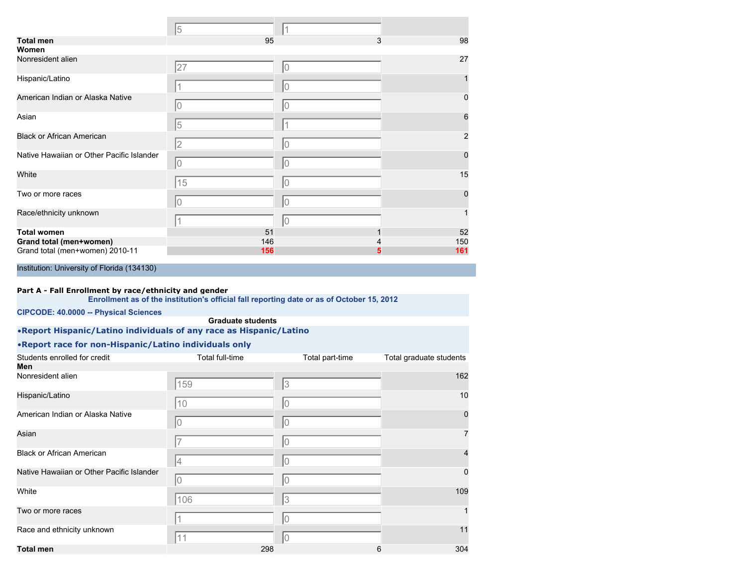|                                           | 5              |    |              |
|-------------------------------------------|----------------|----|--------------|
| <b>Total men</b>                          | 95             | 3  | 98           |
| Women                                     |                |    |              |
| Nonresident alien                         | 27             | 0  | 27           |
| Hispanic/Latino                           |                | 0  |              |
| American Indian or Alaska Native          | 0              | 0  | $\Omega$     |
| Asian                                     | 5              |    | 6            |
| <b>Black or African American</b>          | $\overline{2}$ | 0  | 2            |
| Native Hawaiian or Other Pacific Islander | 0              | 10 | $\Omega$     |
| White                                     | 15             | 10 | 15           |
| Two or more races                         | 0              | 10 | <sup>0</sup> |
| Race/ethnicity unknown                    | 1              | 10 |              |
| <b>Total women</b>                        | 51             |    | 52           |
| Grand total (men+women)                   | 146            |    | 150          |
| Grand total (men+women) 2010-11           | 156            |    | 161          |

#### **Part A - Fall Enrollment by race/ethnicity and gender**

**Enrollment as of the institution's official fall reporting date or as of October 15, 2012**

**CIPCODE: 40.0000 -- Physical Sciences**

#### **Graduate students**

•**Report Hispanic/Latino individuals of any race as Hispanic/Latino**

| Students enrolled for credit              | Total full-time | Total part-time | Total graduate students |
|-------------------------------------------|-----------------|-----------------|-------------------------|
| Men                                       |                 |                 |                         |
| Nonresident alien                         | 159             | 3               | 162                     |
| Hispanic/Latino                           | 10              | 10              | 10                      |
| American Indian or Alaska Native          | 10              | 10              | $\mathbf 0$             |
| Asian                                     |                 | 10              | 7                       |
| <b>Black or African American</b>          | 4               | 10              | 4                       |
| Native Hawaiian or Other Pacific Islander | l0              | l0              | $\mathbf 0$             |
| White                                     | 106             | 3               | 109                     |
| Two or more races                         |                 | l0              |                         |
| Race and ethnicity unknown                |                 | l0              | 11                      |
| <b>Total men</b>                          | 298             | 6               | 304                     |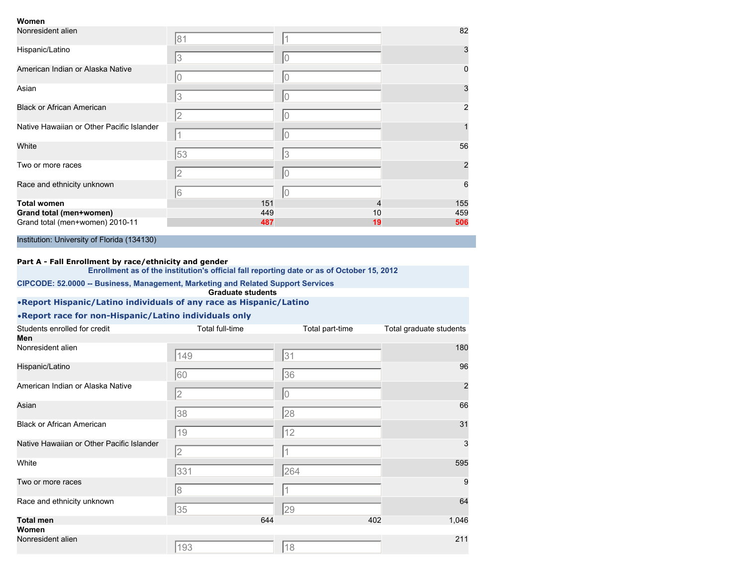#### **Women**

| Nonresident alien                         | 81             |                | 82             |
|-------------------------------------------|----------------|----------------|----------------|
| Hispanic/Latino                           | 13             | 0              | 3              |
| American Indian or Alaska Native          |                | $\overline{0}$ | 0              |
| Asian                                     | 3              | $\overline{0}$ | 3              |
| <b>Black or African American</b>          | 2              | 0              | 2              |
| Native Hawaiian or Other Pacific Islander |                | 10             |                |
| White                                     | 53             | 3              | 56             |
| Two or more races                         | $\overline{2}$ | $\Omega$       | $\overline{2}$ |
| Race and ethnicity unknown                | 16             | 10             | 6              |
| <b>Total women</b>                        | 151            |                | 155            |
| Grand total (men+women)                   | 449            | 10             | 459            |
| Grand total (men+women) 2010-11           | 487            | 19             | 506            |

Institution: University of Florida (134130)

#### **Part A - Fall Enrollment by race/ethnicity and gender**

**Enrollment as of the institution's official fall reporting date or as of October 15, 2012**

#### **CIPCODE: 52.0000 -- Business, Management, Marketing and Related Support Services Graduate students**

## •**Report Hispanic/Latino individuals of any race as Hispanic/Latino**

| Students enrolled for credit              | Total full-time | Total part-time | Total graduate students |
|-------------------------------------------|-----------------|-----------------|-------------------------|
| Men                                       |                 |                 |                         |
| Nonresident alien                         | 149             | 31              | 180                     |
| Hispanic/Latino                           | 60              | 36              | 96                      |
| American Indian or Alaska Native          | 2               | 10              | $\overline{2}$          |
| Asian                                     | 38              | 28              | 66                      |
| <b>Black or African American</b>          | 19              | 12              | 31                      |
| Native Hawaiian or Other Pacific Islander | $\overline{2}$  | 1               | 3                       |
| White                                     | 331             | 264             | 595                     |
| Two or more races                         | 8               |                 | 9                       |
| Race and ethnicity unknown                | 35              | 29              | 64                      |
| <b>Total men</b>                          | 644             | 402             | 1,046                   |
| Women                                     |                 |                 |                         |
| Nonresident alien                         | 193             | 18              | 211                     |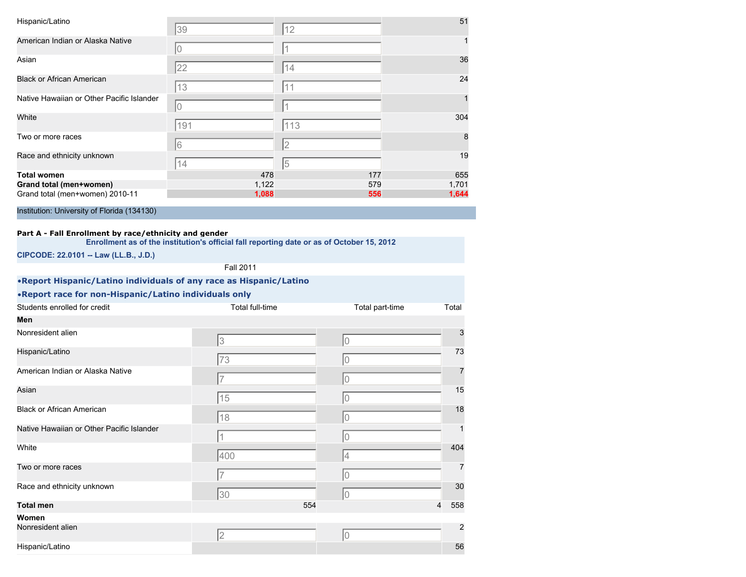| Hispanic/Latino                           | 39             | 12  | 51    |
|-------------------------------------------|----------------|-----|-------|
| American Indian or Alaska Native          | 0              |     |       |
| Asian                                     | 22             | 14  | 36    |
| <b>Black or African American</b>          | 13             | 11  | 24    |
| Native Hawaiian or Other Pacific Islander | $\overline{0}$ |     |       |
| White                                     | 191            | 113 | 304   |
| Two or more races                         | 6              | 2   | 8     |
| Race and ethnicity unknown                | 14             | 5   | 19    |
| <b>Total women</b>                        | 478            | 177 | 655   |
| Grand total (men+women)                   | 1,122          | 579 | 1,701 |
| Grand total (men+women) 2010-11           | 1,088          | 556 | 1,644 |

#### **Part A - Fall Enrollment by race/ethnicity and gender**

**Enrollment as of the institution's official fall reporting date or as of October 15, 2012**

**CIPCODE: 22.0101 -- Law (LL.B., J.D.)**

Fall 2011

| .Report Hispanic/Latino individuals of any race as Hispanic/Latino |                        |                 |                |
|--------------------------------------------------------------------|------------------------|-----------------|----------------|
| . Report race for non-Hispanic/Latino individuals only             |                        |                 |                |
| Students enrolled for credit                                       | <b>Total full-time</b> | Total part-time | Total          |
| Men                                                                |                        |                 |                |
| Nonresident alien                                                  | 3                      | 10              | 3              |
| Hispanic/Latino                                                    | 73                     | 10              | 73             |
| American Indian or Alaska Native                                   |                        | 10              | 7              |
| Asian                                                              | 15                     | lo              | 15             |
| <b>Black or African American</b>                                   | 18                     | 10              | 18             |
| Native Hawaiian or Other Pacific Islander                          |                        | 10              | $\mathbf{1}$   |
| White                                                              | 400                    | 4               | 404            |
| Two or more races                                                  |                        | 10              | $\overline{7}$ |
| Race and ethnicity unknown                                         | 30                     | 10              | 30             |
| <b>Total men</b>                                                   | 554                    | $\overline{4}$  | 558            |
| Women                                                              |                        |                 |                |
| Nonresident alien                                                  | $\overline{2}$         | 10              | 2              |
| Hispanic/Latino                                                    |                        |                 | 56             |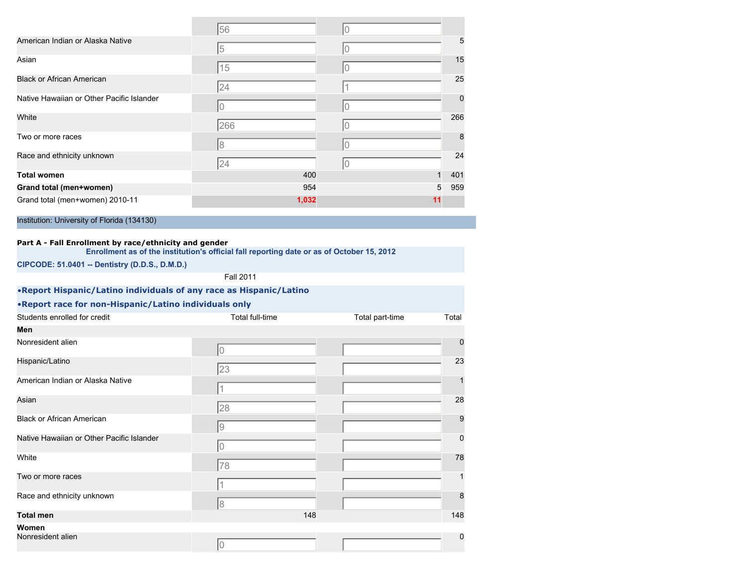|                                             | 56    | 0  |             |
|---------------------------------------------|-------|----|-------------|
| American Indian or Alaska Native            | 5     | 0  | 5           |
| Asian                                       | 15    | U  | 15          |
| <b>Black or African American</b>            | 24    |    | 25          |
| Native Hawaiian or Other Pacific Islander   | 0     |    | $\mathbf 0$ |
| White                                       | 266   | 0  | 266         |
| Two or more races                           | 8     |    | 8           |
| Race and ethnicity unknown                  | 24    | 0  | 24          |
| <b>Total women</b>                          | 400   |    | 401         |
| Grand total (men+women)                     | 954   | 5  | 959         |
| Grand total (men+women) 2010-11             | 1,032 | 11 |             |
| Institution: University of Florida (134130) |       |    |             |

#### **Part A - Fall Enrollment by race/ethnicity and gender**

**Enrollment as of the institution's official fall reporting date or as of October 15, 2012**

**CIPCODE: 51.0401 -- Dentistry (D.D.S., D.M.D.)**

Fall 2011

| • Report Hispanic/Latino individuals of any race as Hispanic/Latino |  |
|---------------------------------------------------------------------|--|
| •Report race for non-Hispanic/Latino individuals only               |  |

| Students enrolled for credit              | Total full-time | Total part-time | Total            |
|-------------------------------------------|-----------------|-----------------|------------------|
| Men                                       |                 |                 |                  |
| Nonresident alien                         | 0               |                 | $\mathbf 0$      |
| Hispanic/Latino                           | 23              |                 | 23               |
| American Indian or Alaska Native          |                 |                 | $\mathbf{1}$     |
| Asian                                     | 28              |                 | 28               |
| <b>Black or African American</b>          | 9               |                 | 9                |
| Native Hawaiian or Other Pacific Islander | 0               |                 | $\mathbf 0$      |
| White                                     | 78              |                 | 78               |
| Two or more races                         |                 |                 | $\mathbf{1}$     |
| Race and ethnicity unknown                | 8               |                 | $\boldsymbol{8}$ |
| <b>Total men</b>                          | 148             |                 | 148              |
| Women                                     |                 |                 |                  |
| Nonresident alien                         | 0               |                 | $\mathbf 0$      |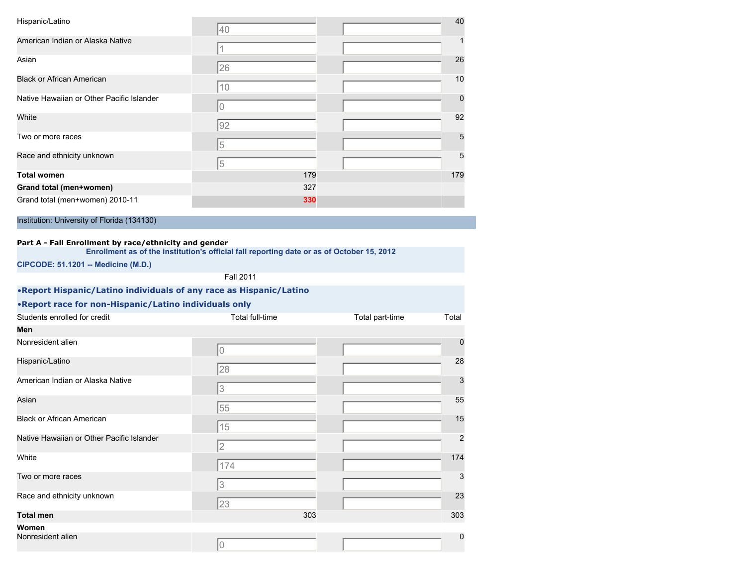| Hispanic/Latino                                                                                     | 40                                                                                        |                 | 40             |
|-----------------------------------------------------------------------------------------------------|-------------------------------------------------------------------------------------------|-----------------|----------------|
| American Indian or Alaska Native                                                                    | 1                                                                                         |                 |                |
| Asian                                                                                               |                                                                                           |                 | 26             |
| <b>Black or African American</b>                                                                    | 26                                                                                        |                 | 10             |
| Native Hawaiian or Other Pacific Islander                                                           | 10                                                                                        |                 | $\Omega$       |
|                                                                                                     | 0                                                                                         |                 |                |
| White                                                                                               | 92                                                                                        |                 | 92             |
| Two or more races                                                                                   | 5                                                                                         |                 | 5              |
| Race and ethnicity unknown                                                                          | 5                                                                                         |                 | 5              |
| <b>Total women</b>                                                                                  | 179                                                                                       |                 | 179            |
| Grand total (men+women)                                                                             | 327                                                                                       |                 |                |
| Grand total (men+women) 2010-11                                                                     | 330                                                                                       |                 |                |
| Part A - Fall Enrollment by race/ethnicity and gender<br><b>CIPCODE: 51.1201 -- Medicine (M.D.)</b> | Enrollment as of the institution's official fall reporting date or as of October 15, 2012 |                 |                |
|                                                                                                     | <b>Fall 2011</b>                                                                          |                 |                |
| .Report Hispanic/Latino individuals of any race as Hispanic/Latino                                  |                                                                                           |                 |                |
| . Report race for non-Hispanic/Latino individuals only                                              |                                                                                           |                 |                |
| Students enrolled for credit                                                                        | Total full-time                                                                           | Total part-time | Total          |
| Men                                                                                                 |                                                                                           |                 |                |
| Nonresident alien                                                                                   | 0                                                                                         |                 | 0              |
| Hispanic/Latino                                                                                     | 28                                                                                        |                 | 28             |
| American Indian or Alaska Native                                                                    | 3                                                                                         |                 | 3              |
| Asian                                                                                               | 55                                                                                        |                 | 55             |
| <b>Black or African American</b>                                                                    | 15                                                                                        |                 | 15             |
| Native Hawaiian or Other Pacific Islander                                                           | $\overline{2}$                                                                            |                 | $\overline{2}$ |

white the contract of the contract of the contract of the contract of the contract of the contract of the contract of the contract of the contract of the contract of the contract of the contract of the contract of the cont Two or more races 33

 $\sqrt{174}$ 

 $\sqrt{3}$ 

23

 $\sqrt{0}$ 

Race and ethnicity unknown 23

**Total men** 303 303

Nonresident alien **behalfte allien allien allien allien allien** behalfte allien allien allien allien allien allien allien allien allien allien allien allien allien allien allien allien allien allien allien allien allien al

**Women**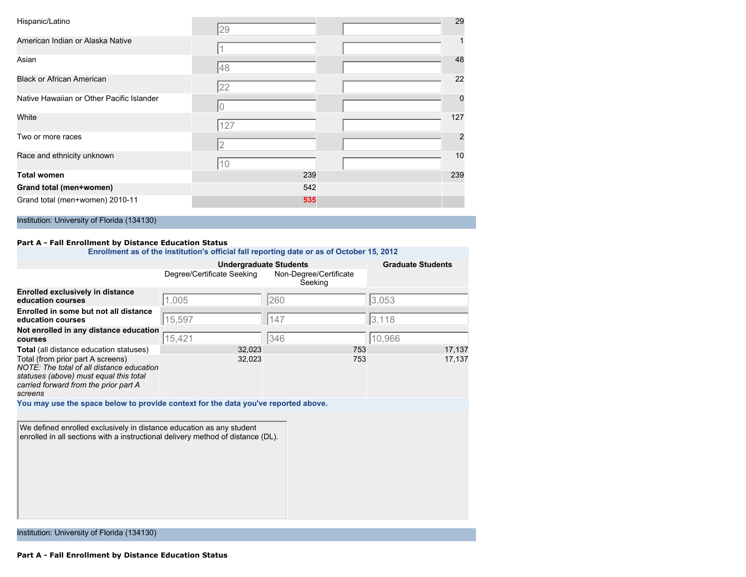| Hispanic/Latino                           | 29             | 29  |
|-------------------------------------------|----------------|-----|
| American Indian or Alaska Native          |                |     |
| Asian                                     | 48             | 48  |
| <b>Black or African American</b>          | 22             | 22  |
| Native Hawaiian or Other Pacific Islander | 0              |     |
| White                                     | 127            | 127 |
| Two or more races                         | $\overline{2}$ |     |
| Race and ethnicity unknown                | 10             | 10  |
| Total women                               | 239            | 239 |
| Grand total (men+women)                   | 542            |     |
| Grand total (men+women) 2010-11           | 535            |     |

#### **Part A - Fall Enrollment by Distance Education Status**

|                                                                                                                                                                                                                                | <b>Undergraduate Students</b> |                                   | <b>Graduate Students</b> |  |
|--------------------------------------------------------------------------------------------------------------------------------------------------------------------------------------------------------------------------------|-------------------------------|-----------------------------------|--------------------------|--|
|                                                                                                                                                                                                                                | Degree/Certificate Seeking    | Non-Degree/Certificate<br>Seeking |                          |  |
| <b>Enrolled exclusively in distance</b><br>education courses                                                                                                                                                                   | 1,005                         | 260                               | 3,053                    |  |
| Enrolled in some but not all distance<br>education courses                                                                                                                                                                     | 15,597                        | 147                               | 3,118                    |  |
| Not enrolled in any distance education<br>courses                                                                                                                                                                              | 15,421                        | 346                               | 10,966                   |  |
| <b>Total</b> (all distance education statuses)<br>Total (from prior part A screens)<br>NOTE: The total of all distance education<br>statuses (above) must equal this total<br>carried forward from the prior part A<br>screens | 32,023<br>32,023              | 753<br>753                        | 17,137<br>17,137         |  |
| You may use the space below to provide context for the data you've reported above.                                                                                                                                             |                               |                                   |                          |  |
| We defined enrolled exclusively in distance education as any student<br>enrolled in all sections with a instructional delivery method of distance (DL).                                                                        |                               |                                   |                          |  |
| Institution: University of Florida (134130)                                                                                                                                                                                    |                               |                                   |                          |  |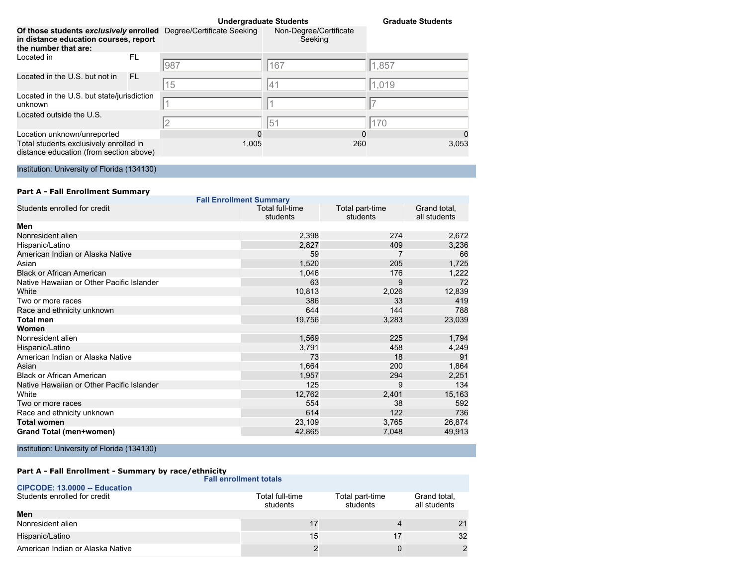|                                                                                                                                    |     |          | <b>Undergraduate Students</b>     | <b>Graduate Students</b> |  |
|------------------------------------------------------------------------------------------------------------------------------------|-----|----------|-----------------------------------|--------------------------|--|
| Of those students exclusively enrolled Degree/Certificate Seeking<br>in distance education courses, report<br>the number that are: |     |          | Non-Degree/Certificate<br>Seeking |                          |  |
| Located in                                                                                                                         | FL  | 987      | 167                               | 1,857                    |  |
| Located in the U.S. but not in                                                                                                     | FL. | 15       | 41                                | 1,019                    |  |
| Located in the U.S. but state/jurisdiction<br>unknown                                                                              |     |          |                                   |                          |  |
| Located outside the U.S.                                                                                                           |     | 2        | 51                                | 170                      |  |
| Location unknown/unreported                                                                                                        |     | $\Omega$ |                                   | 0<br>0                   |  |
| Total students exclusively enrolled in<br>distance education (from section above)                                                  |     | 1,005    | 260                               | 3,053                    |  |

|               |  |  | <b>Part A - Fall Enrollment Summary</b> |                                |
|---------------|--|--|-----------------------------------------|--------------------------------|
|               |  |  |                                         | <b>Fall Enrollment Summary</b> |
| $\sim$ $\sim$ |  |  |                                         | _________                      |

| Students enrolled for credit              | Total full-time<br>students | Total part-time<br>students | Grand total,<br>all students |
|-------------------------------------------|-----------------------------|-----------------------------|------------------------------|
| Men                                       |                             |                             |                              |
| Nonresident alien                         | 2,398                       | 274                         | 2,672                        |
| Hispanic/Latino                           | 2,827                       | 409                         | 3,236                        |
| American Indian or Alaska Native          | 59                          |                             | 66                           |
| Asian                                     | 1,520                       | 205                         | 1,725                        |
| <b>Black or African American</b>          | 1,046                       | 176                         | 1,222                        |
| Native Hawaiian or Other Pacific Islander | 63                          | 9                           | 72                           |
| White                                     | 10,813                      | 2,026                       | 12,839                       |
| Two or more races                         | 386                         | 33                          | 419                          |
| Race and ethnicity unknown                | 644                         | 144                         | 788                          |
| Total men                                 | 19,756                      | 3,283                       | 23,039                       |
| Women                                     |                             |                             |                              |
| Nonresident alien                         | 1,569                       | 225                         | 1,794                        |
| Hispanic/Latino                           | 3,791                       | 458                         | 4,249                        |
| American Indian or Alaska Native          | 73                          | 18                          | 91                           |
| Asian                                     | 1,664                       | 200                         | 1,864                        |
| Black or African American                 | 1,957                       | 294                         | 2,251                        |
| Native Hawaiian or Other Pacific Islander | 125                         | 9                           | 134                          |
| White                                     | 12,762                      | 2,401                       | 15,163                       |
| Two or more races                         | 554                         | 38                          | 592                          |
| Race and ethnicity unknown                | 614                         | 122                         | 736                          |
| Total women                               | 23,109                      | 3,765                       | 26,874                       |
| Grand Total (men+women)                   | 42,865                      | 7,048                       | 49,913                       |

Institution: University of Florida (134130)

|                                  | <b>Fall enrollment totals</b> |                             |                              |
|----------------------------------|-------------------------------|-----------------------------|------------------------------|
| CIPCODE: 13.0000 -- Education    |                               |                             |                              |
| Students enrolled for credit     | Total full-time<br>students   | Total part-time<br>students | Grand total,<br>all students |
| Men                              |                               |                             |                              |
| Nonresident alien                |                               |                             | 21                           |
| Hispanic/Latino                  | 15                            | 17                          | 32                           |
| American Indian or Alaska Native |                               |                             |                              |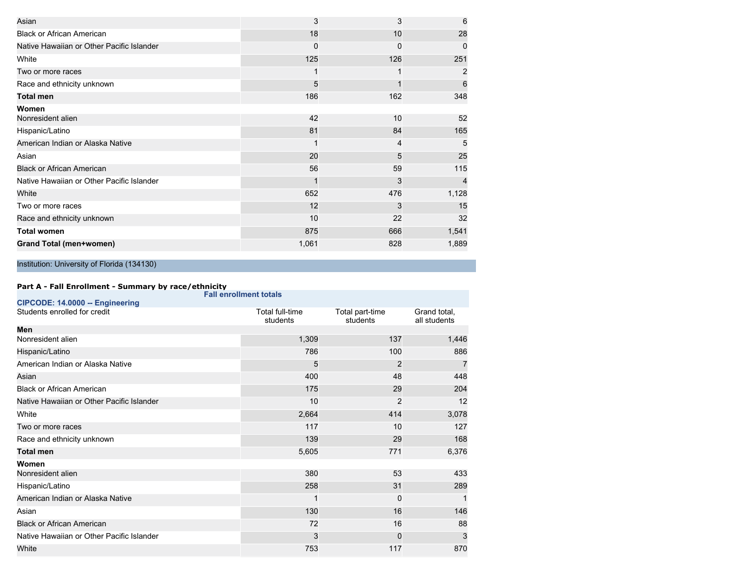| Asian                                     | 3     | 3   | 6     |
|-------------------------------------------|-------|-----|-------|
| <b>Black or African American</b>          | 18    | 10  | 28    |
| Native Hawaiian or Other Pacific Islander | 0     | 0   | 0     |
| White                                     | 125   | 126 | 251   |
| Two or more races                         |       |     | 2     |
| Race and ethnicity unknown                | 5     |     | 6     |
| <b>Total men</b>                          | 186   | 162 | 348   |
| Women                                     |       |     |       |
| Nonresident alien                         | 42    | 10  | 52    |
| Hispanic/Latino                           | 81    | 84  | 165   |
| American Indian or Alaska Native          |       | 4   | 5     |
| Asian                                     | 20    | 5   | 25    |
| <b>Black or African American</b>          | 56    | 59  | 115   |
| Native Hawaiian or Other Pacific Islander |       | 3   |       |
| White                                     | 652   | 476 | 1,128 |
| Two or more races                         | 12    | 3   | 15    |
| Race and ethnicity unknown                | 10    | 22  | 32    |
| <b>Total women</b>                        | 875   | 666 | 1,541 |
| Grand Total (men+women)                   | 1,061 | 828 | 1,889 |

|                                           | <b>Fall enrollment totals</b> |                             |                              |
|-------------------------------------------|-------------------------------|-----------------------------|------------------------------|
| CIPCODE: 14.0000 -- Engineering           |                               |                             |                              |
| Students enrolled for credit              | Total full-time<br>students   | Total part-time<br>students | Grand total.<br>all students |
| Men                                       |                               |                             |                              |
| Nonresident alien                         | 1,309                         | 137                         | 1,446                        |
| Hispanic/Latino                           | 786                           | 100                         | 886                          |
| American Indian or Alaska Native          | 5                             | $\overline{2}$              | $\overline{7}$               |
| Asian                                     | 400                           | 48                          | 448                          |
| <b>Black or African American</b>          | 175                           | 29                          | 204                          |
| Native Hawaiian or Other Pacific Islander | 10                            | 2                           | 12                           |
| White                                     | 2,664                         | 414                         | 3,078                        |
| Two or more races                         | 117                           | 10                          | 127                          |
| Race and ethnicity unknown                | 139                           | 29                          | 168                          |
| <b>Total men</b>                          | 5,605                         | 771                         | 6,376                        |
| Women                                     |                               |                             |                              |
| Nonresident alien                         | 380                           | 53                          | 433                          |
| Hispanic/Latino                           | 258                           | 31                          | 289                          |
| American Indian or Alaska Native          | 1                             | 0                           |                              |
| Asian                                     | 130                           | 16                          | 146                          |
| <b>Black or African American</b>          | 72                            | 16                          | 88                           |
| Native Hawaiian or Other Pacific Islander | 3                             | 0                           | 3                            |
| White                                     | 753                           | 117                         | 870                          |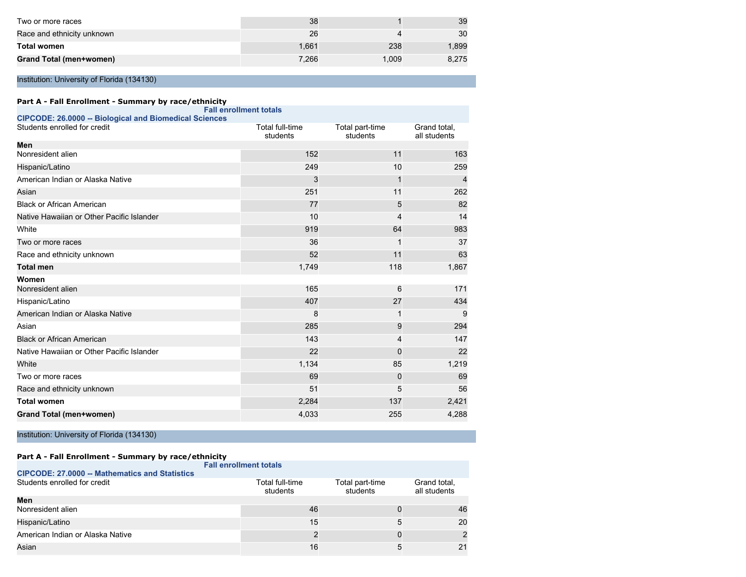| Two or more races          | 38    |       | 39    |
|----------------------------|-------|-------|-------|
| Race and ethnicity unknown | 26    |       | 30    |
| <b>Total women</b>         | 1.661 | 238   | .899  |
| Grand Total (men+women)    | 7.266 | 1.009 | 8.275 |

| Part A - Fall Enrollment - Summary by race/ethnicity          |                               |                             |                              |
|---------------------------------------------------------------|-------------------------------|-----------------------------|------------------------------|
| <b>CIPCODE: 26.0000 -- Biological and Biomedical Sciences</b> | <b>Fall enrollment totals</b> |                             |                              |
| Students enrolled for credit                                  | Total full-time<br>students   | Total part-time<br>students | Grand total,<br>all students |
| Men                                                           |                               |                             |                              |
| Nonresident alien                                             | 152                           | 11                          | 163                          |
| Hispanic/Latino                                               | 249                           | 10                          | 259                          |
| American Indian or Alaska Native                              | 3                             | 1                           | 4                            |
| Asian                                                         | 251                           | 11                          | 262                          |
| <b>Black or African American</b>                              | 77                            | 5                           | 82                           |
| Native Hawaiian or Other Pacific Islander                     | 10                            | 4                           | 14                           |
| White                                                         | 919                           | 64                          | 983                          |
| Two or more races                                             | 36                            | 1                           | 37                           |
| Race and ethnicity unknown                                    | 52                            | 11                          | 63                           |
| <b>Total men</b>                                              | 1,749                         | 118                         | 1,867                        |
| Women                                                         |                               |                             |                              |
| Nonresident alien                                             | 165                           | 6                           | 171                          |
| Hispanic/Latino                                               | 407                           | 27                          | 434                          |
| American Indian or Alaska Native                              | 8                             | 1                           | 9                            |
| Asian                                                         | 285                           | 9                           | 294                          |
| <b>Black or African American</b>                              | 143                           | 4                           | 147                          |
| Native Hawaiian or Other Pacific Islander                     | 22                            | $\mathbf 0$                 | 22                           |
| White                                                         | 1,134                         | 85                          | 1,219                        |
| Two or more races                                             | 69                            | $\mathbf 0$                 | 69                           |
| Race and ethnicity unknown                                    | 51                            | 5                           | 56                           |
| <b>Total women</b>                                            | 2,284                         | 137                         | 2,421                        |
| Grand Total (men+women)                                       | 4,033                         | 255                         | 4,288                        |

Institution: University of Florida (134130)

|                                                       | <b>Fall enrollment totals</b> |                             |                              |
|-------------------------------------------------------|-------------------------------|-----------------------------|------------------------------|
| <b>CIPCODE: 27,0000 -- Mathematics and Statistics</b> |                               |                             |                              |
| Students enrolled for credit                          | Total full-time<br>students   | Total part-time<br>students | Grand total,<br>all students |
| Men                                                   |                               |                             |                              |
| Nonresident alien                                     | 46                            |                             | 46                           |
| Hispanic/Latino                                       | 15                            |                             | 20                           |
| American Indian or Alaska Native                      |                               |                             |                              |
| Asian                                                 | 16                            |                             | 21                           |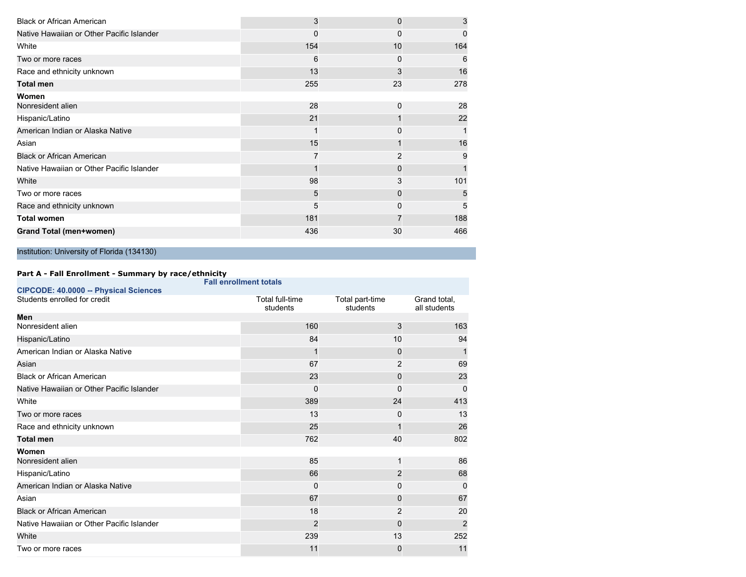| 3   | $\Omega$ | 3        |
|-----|----------|----------|
| 0   | 0        | $\Omega$ |
| 154 | 10       | 164      |
| 6   | 0        | 6        |
| 13  | 3        | 16       |
| 255 | 23       | 278      |
|     |          |          |
| 28  | $\Omega$ | 28       |
| 21  |          | 22       |
|     | 0        |          |
| 15  |          | 16       |
|     | 2        | 9        |
|     | 0        |          |
| 98  | 3        | 101      |
| 5   | 0        | 5        |
| 5   | 0        | 5        |
| 181 |          | 188      |
| 436 | 30       | 466      |
|     |          |          |

|                                           | <b>Fall enrollment totals</b> |                             |                              |
|-------------------------------------------|-------------------------------|-----------------------------|------------------------------|
| CIPCODE: 40.0000 -- Physical Sciences     |                               |                             |                              |
| Students enrolled for credit              | Total full-time<br>students   | Total part-time<br>students | Grand total,<br>all students |
| Men                                       |                               |                             |                              |
| Nonresident alien                         | 160                           | 3                           | 163                          |
| Hispanic/Latino                           | 84                            | 10                          | 94                           |
| American Indian or Alaska Native          |                               | 0                           | 1                            |
| Asian                                     | 67                            | 2                           | 69                           |
| <b>Black or African American</b>          | 23                            | 0                           | 23                           |
| Native Hawaiian or Other Pacific Islander | 0                             | 0                           | 0                            |
| White                                     | 389                           | 24                          | 413                          |
| Two or more races                         | 13                            | 0                           | 13                           |
| Race and ethnicity unknown                | 25                            |                             | 26                           |
| <b>Total men</b>                          | 762                           | 40                          | 802                          |
| Women                                     |                               |                             |                              |
| Nonresident alien                         | 85                            | 1                           | 86                           |
| Hispanic/Latino                           | 66                            | $\overline{2}$              | 68                           |
| American Indian or Alaska Native          | 0                             | 0                           | 0                            |
| Asian                                     | 67                            | 0                           | 67                           |
| <b>Black or African American</b>          | 18                            | 2                           | 20                           |
| Native Hawaiian or Other Pacific Islander | 2                             | 0                           | $\overline{2}$               |
| White                                     | 239                           | 13                          | 252                          |
| Two or more races                         | 11                            | 0                           | 11                           |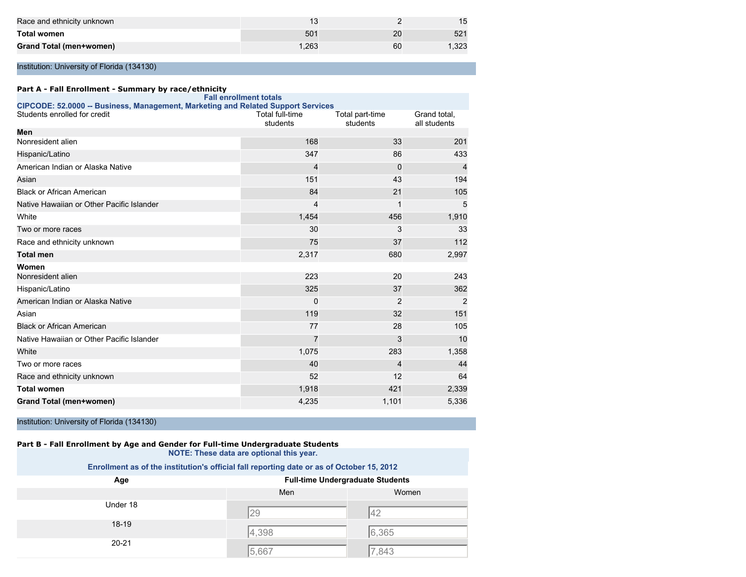| Race and ethnicity unknown |       |    |                 |
|----------------------------|-------|----|-----------------|
| <b>Total women</b>         | 501   | 20 | 52 <sup>°</sup> |
| Grand Total (men+women)    | 1.263 | 60 | ,323            |

#### **Part A - Fall Enrollment - Summary by race/ethnicity**

|                                                                                  | <b>Fall enrollment totals</b> |                             |                              |
|----------------------------------------------------------------------------------|-------------------------------|-----------------------------|------------------------------|
| CIPCODE: 52.0000 -- Business, Management, Marketing and Related Support Services |                               |                             |                              |
| Students enrolled for credit                                                     | Total full-time<br>students   | Total part-time<br>students | Grand total,<br>all students |
| Men                                                                              |                               |                             |                              |
| Nonresident alien                                                                | 168                           | 33                          | 201                          |
| Hispanic/Latino                                                                  | 347                           | 86                          | 433                          |
| American Indian or Alaska Native                                                 | 4                             | 0                           | $\overline{4}$               |
| Asian                                                                            | 151                           | 43                          | 194                          |
| <b>Black or African American</b>                                                 | 84                            | 21                          | 105                          |
| Native Hawaiian or Other Pacific Islander                                        | 4                             | 1                           | 5                            |
| White                                                                            | 1,454                         | 456                         | 1,910                        |
| Two or more races                                                                | 30                            | 3                           | 33                           |
| Race and ethnicity unknown                                                       | 75                            | 37                          | 112                          |
| <b>Total men</b>                                                                 | 2,317                         | 680                         | 2,997                        |
| Women                                                                            |                               |                             |                              |
| Nonresident alien                                                                | 223                           | 20                          | 243                          |
| Hispanic/Latino                                                                  | 325                           | 37                          | 362                          |
| American Indian or Alaska Native                                                 | 0                             | 2                           | 2                            |
| Asian                                                                            | 119                           | 32                          | 151                          |
| <b>Black or African American</b>                                                 | 77                            | 28                          | 105                          |
| Native Hawaiian or Other Pacific Islander                                        | 7                             | 3                           | 10                           |
| White                                                                            | 1,075                         | 283                         | 1,358                        |
| Two or more races                                                                | 40                            | 4                           | 44                           |
| Race and ethnicity unknown                                                       | 52                            | 12                          | 64                           |
| <b>Total women</b>                                                               | 1,918                         | 421                         | 2,339                        |
| <b>Grand Total (men+women)</b>                                                   | 4,235                         | 1,101                       | 5,336                        |

Institution: University of Florida (134130)

#### **Part B - Fall Enrollment by Age and Gender for Full-time Undergraduate Students NOTE: These data are optional this year.**

| Age       | <b>Full-time Undergraduate Students</b> |       |
|-----------|-----------------------------------------|-------|
|           | Men                                     | Women |
| Under 18  |                                         |       |
| $18-19$   | 29                                      | 42    |
|           | 4,398                                   | 6,365 |
| $20 - 21$ | 5,667                                   | 7,843 |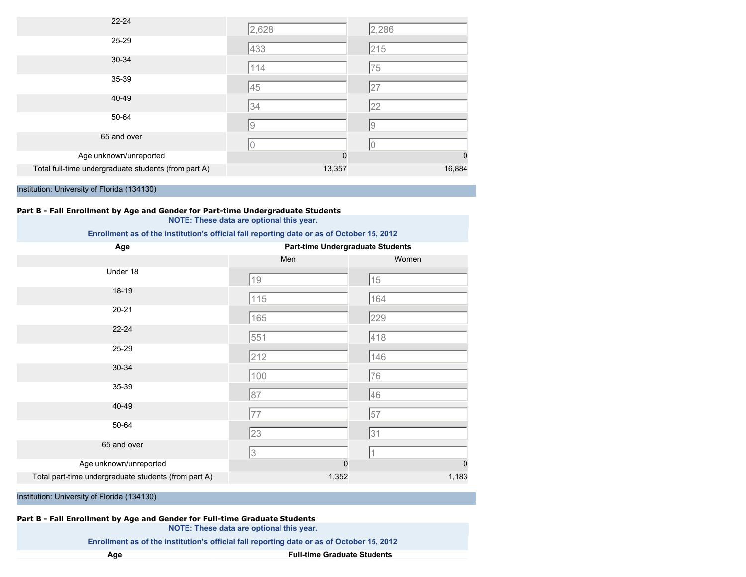| $22 - 24$                                            | 2,628    | 2,286       |
|------------------------------------------------------|----------|-------------|
| 25-29                                                | 433      | 215         |
| 30-34                                                | 114      | 75          |
| 35-39                                                | 45       | 27          |
| 40-49                                                | 34       | 22          |
| 50-64                                                | 9        | 9           |
| 65 and over                                          | 10       | 0           |
| Age unknown/unreported                               | $\Omega$ | $\mathbf 0$ |
| Total full-time undergraduate students (from part A) | 13,357   | 16,884      |

#### **Part B - Fall Enrollment by Age and Gender for Part-time Undergraduate Students NOTE: These data are optional this year.**

#### **Enrollment as of the institution's official fall reporting date or as of October 15, 2012**

| Age                                                  | <b>Part-time Undergraduate Students</b> |       |
|------------------------------------------------------|-----------------------------------------|-------|
|                                                      | Men                                     | Women |
| Under 18                                             | $19$                                    | 15    |
| 18-19                                                | 115                                     | 164   |
| $20 - 21$                                            | 165                                     | 229   |
| 22-24                                                | 551                                     | 418   |
| 25-29                                                | 212                                     | 146   |
| 30-34                                                | 100                                     | 76    |
| 35-39                                                | 87                                      | 46    |
| 40-49                                                | 77                                      | 57    |
| 50-64                                                | 23                                      | 31    |
| 65 and over                                          | 3                                       |       |
| Age unknown/unreported                               | $\mathbf 0$                             | 0     |
| Total part-time undergraduate students (from part A) | 1,352                                   | 1,183 |

Institution: University of Florida (134130)

#### **Part B - Fall Enrollment by Age and Gender for Full-time Graduate Students NOTE: These data are optional this year.**

**Enrollment as of the institution's official fall reporting date or as of October 15, 2012**

**Age Full-time Graduate Students**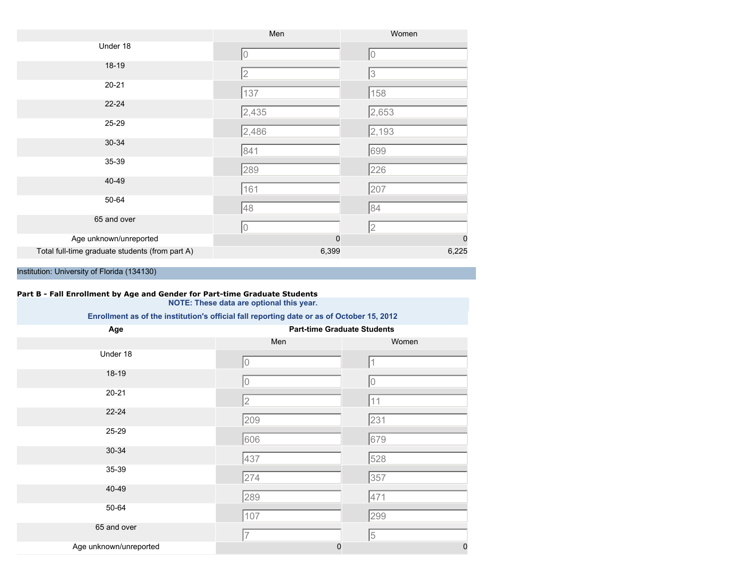|                                                 | Men      | Women       |
|-------------------------------------------------|----------|-------------|
| Under 18                                        | l0       | Iо          |
| $18-19$                                         | 2        | 3           |
| $20 - 21$                                       | 137      | 158         |
| $22 - 24$                                       | 2,435    | 2,653       |
| 25-29                                           | 2,486    | 2,193       |
| 30-34                                           | 841      | 699         |
| 35-39                                           | 289      | 226         |
| 40-49                                           | 161      | 207         |
| 50-64                                           | 48       | 84          |
| 65 and over                                     | 10       | 2           |
| Age unknown/unreported                          | $\Omega$ | $\mathbf 0$ |
| Total full-time graduate students (from part A) | 6,399    | 6,225       |

## **Part B - Fall Enrollment by Age and Gender for Part-time Graduate Students**

**NOTE: These data are optional this year.**

| Age                    | <b>Part-time Graduate Students</b> |             |  |
|------------------------|------------------------------------|-------------|--|
|                        | Men                                | Women       |  |
| Under 18               | 0                                  |             |  |
| 18-19                  | 0                                  | 0           |  |
| $20 - 21$              | $\overline{2}$                     | 11          |  |
| $22 - 24$              | 209                                | 231         |  |
| 25-29                  | 606                                | 679         |  |
| 30-34                  | 437                                | 528         |  |
| 35-39                  | 274                                | 357         |  |
| 40-49                  | 289                                | 471         |  |
| 50-64                  | 107                                | 299         |  |
| 65 and over            | 7                                  | 5           |  |
| Age unknown/unreported | $\mathbf 0$                        | $\mathbf 0$ |  |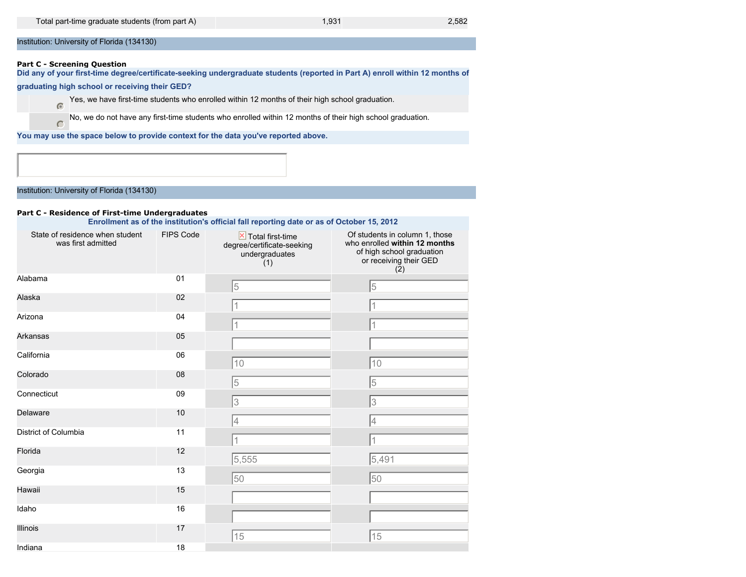#### **Part C - Screening Question**

 $\subset$ 

**Did any of your first-time degree/certificate-seeking undergraduate students (reported in Part A) enroll within 12 months of**

#### **graduating high school or receiving their GED?**

Yes, we have first-time students who enrolled within 12 months of their high school graduation.

No, we do not have any first-time students who enrolled within 12 months of their high school graduation.

**You may use the space below to provide context for the data you've reported above.**

Institution: University of Florida (134130)

#### **Part C - Residence of First-time Undergraduates**

| State of residence when student<br>was first admitted | <b>FIPS Code</b> | $\overline{\mathsf{x}}$ Total first-time<br>degree/certificate-seeking<br>undergraduates<br>(1) | Of students in column 1, those<br>who enrolled within 12 months<br>of high school graduation<br>or receiving their GED<br>(2) |
|-------------------------------------------------------|------------------|-------------------------------------------------------------------------------------------------|-------------------------------------------------------------------------------------------------------------------------------|
| Alabama                                               | 01               | 5                                                                                               | 5                                                                                                                             |
| Alaska                                                | 02               |                                                                                                 | 11                                                                                                                            |
| Arizona                                               | 04               |                                                                                                 | 1                                                                                                                             |
| Arkansas                                              | 05               |                                                                                                 |                                                                                                                               |
| California                                            | 06               | 10                                                                                              | 10                                                                                                                            |
| Colorado                                              | 08               | 5                                                                                               | 5                                                                                                                             |
| Connecticut                                           | 09               | 3                                                                                               | 3                                                                                                                             |
| Delaware                                              | 10               | 4                                                                                               | 4                                                                                                                             |
| District of Columbia                                  | 11               |                                                                                                 |                                                                                                                               |
| Florida                                               | 12               | 5,555                                                                                           | 5,491                                                                                                                         |
| Georgia                                               | 13               | 50                                                                                              | 50                                                                                                                            |
| Hawaii                                                | 15               |                                                                                                 |                                                                                                                               |
| Idaho                                                 | 16               |                                                                                                 |                                                                                                                               |
| <b>Illinois</b>                                       | 17               | 15                                                                                              | 15                                                                                                                            |
| Indiana                                               | 18               |                                                                                                 |                                                                                                                               |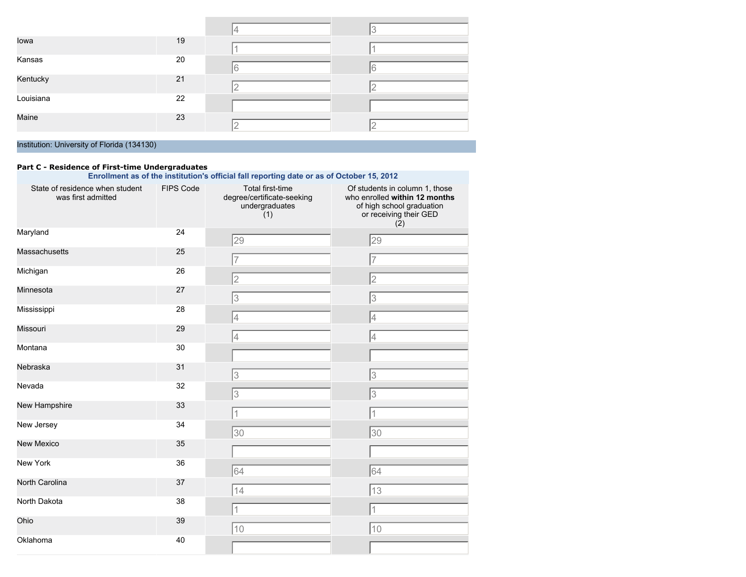|           |    | 14 |   |
|-----------|----|----|---|
| lowa      | 19 |    |   |
| Kansas    | 20 |    |   |
|           |    | 6  | 6 |
| Kentucky  | 21 | 2  |   |
| Louisiana | 22 |    |   |
| Maine     | 23 |    |   |
|           |    | 2  |   |

#### **Part C - Residence of First-time Undergraduates**

| State of residence when student<br>was first admitted | <b>FIPS Code</b> | Total first-time<br>degree/certificate-seeking<br>undergraduates<br>(1) | Of students in column 1, those<br>who enrolled within 12 months<br>of high school graduation<br>or receiving their GED<br>(2) |
|-------------------------------------------------------|------------------|-------------------------------------------------------------------------|-------------------------------------------------------------------------------------------------------------------------------|
| Maryland                                              | 24               | 29                                                                      | 29                                                                                                                            |
| <b>Massachusetts</b>                                  | 25               | $\overline{7}$                                                          | 17                                                                                                                            |
| Michigan                                              | 26               | $\overline{2}$                                                          | 2                                                                                                                             |
| Minnesota                                             | 27               | 3                                                                       | 3                                                                                                                             |
| Mississippi                                           | 28               | $\overline{4}$                                                          | 4                                                                                                                             |
| Missouri                                              | 29               | 4                                                                       | 4                                                                                                                             |
| Montana                                               | 30               |                                                                         |                                                                                                                               |
| Nebraska                                              | 31               | 3                                                                       | 3                                                                                                                             |
| Nevada                                                | 32               | 3                                                                       | 3                                                                                                                             |
| New Hampshire                                         | 33               | 1                                                                       | 11                                                                                                                            |
| New Jersey                                            | 34               | 30                                                                      | 30                                                                                                                            |
| <b>New Mexico</b>                                     | 35               |                                                                         |                                                                                                                               |
| New York                                              | 36               | 64                                                                      | 64                                                                                                                            |
| North Carolina                                        | 37               | 14                                                                      | $\sqrt{13}$                                                                                                                   |
| North Dakota                                          | 38               | 1                                                                       |                                                                                                                               |
| Ohio                                                  | 39               |                                                                         | $\overline{1}$                                                                                                                |
| Oklahoma                                              | 40               | 10                                                                      | 10                                                                                                                            |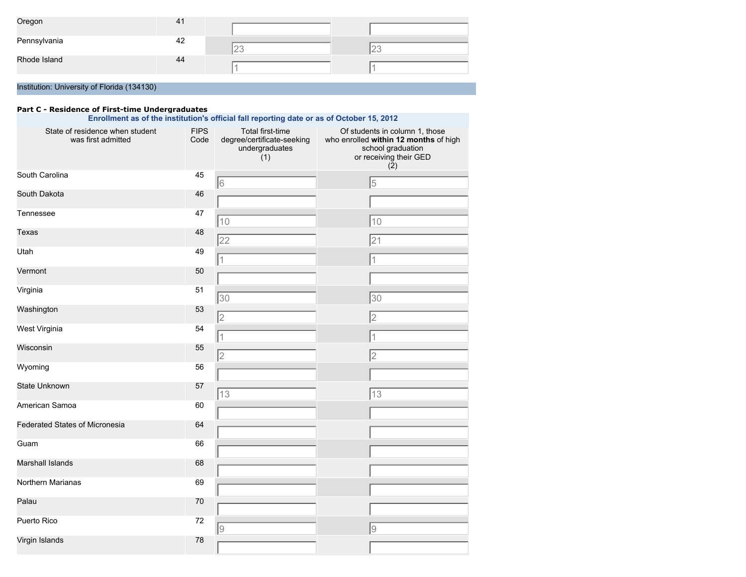| Oregon       | 41 |   |    |
|--------------|----|---|----|
| Pennsylvania | 42 | - | ∠∪ |
| Rhode Island | 44 |   |    |

#### **Part C - Residence of First-time Undergraduates**

| Enrollment as of the institution's official fall reporting date or as of October 15, 2012 |                     |                                                                         |                                                                                                                                            |  |
|-------------------------------------------------------------------------------------------|---------------------|-------------------------------------------------------------------------|--------------------------------------------------------------------------------------------------------------------------------------------|--|
| State of residence when student<br>was first admitted                                     | <b>FIPS</b><br>Code | Total first-time<br>degree/certificate-seeking<br>undergraduates<br>(1) | Of students in column 1, those<br>who enrolled within 12 months of high<br>school graduation<br>or receiving their GED<br>$(\overline{2})$ |  |
| South Carolina                                                                            | 45                  | 6                                                                       | 5                                                                                                                                          |  |
| South Dakota                                                                              | 46                  |                                                                         |                                                                                                                                            |  |
| Tennessee                                                                                 | 47                  | 10                                                                      | 10                                                                                                                                         |  |
| Texas                                                                                     | 48                  | 22                                                                      | 21                                                                                                                                         |  |
| Utah                                                                                      | 49                  | 1                                                                       | $\overline{1}$                                                                                                                             |  |
| Vermont                                                                                   | 50                  |                                                                         |                                                                                                                                            |  |
| Virginia                                                                                  | 51                  | 30                                                                      | 30                                                                                                                                         |  |
| Washington                                                                                | 53                  | $\overline{2}$                                                          | $\overline{2}$                                                                                                                             |  |
| West Virginia                                                                             | 54                  |                                                                         | 1                                                                                                                                          |  |
| Wisconsin                                                                                 | 55                  | $\overline{2}$                                                          | 2                                                                                                                                          |  |
| Wyoming                                                                                   | 56                  |                                                                         |                                                                                                                                            |  |
| <b>State Unknown</b>                                                                      | 57                  | 13                                                                      | 13                                                                                                                                         |  |
| American Samoa                                                                            | 60                  |                                                                         |                                                                                                                                            |  |
| Federated States of Micronesia                                                            | 64                  |                                                                         |                                                                                                                                            |  |
| Guam                                                                                      | 66                  |                                                                         |                                                                                                                                            |  |
| <b>Marshall Islands</b>                                                                   | 68                  |                                                                         |                                                                                                                                            |  |
| Northern Marianas                                                                         | 69                  |                                                                         |                                                                                                                                            |  |
| Palau                                                                                     | 70                  |                                                                         |                                                                                                                                            |  |
| Puerto Rico                                                                               | 72                  |                                                                         |                                                                                                                                            |  |
| Virgin Islands                                                                            | 78                  | $\overline{9}$                                                          | g                                                                                                                                          |  |
|                                                                                           |                     |                                                                         |                                                                                                                                            |  |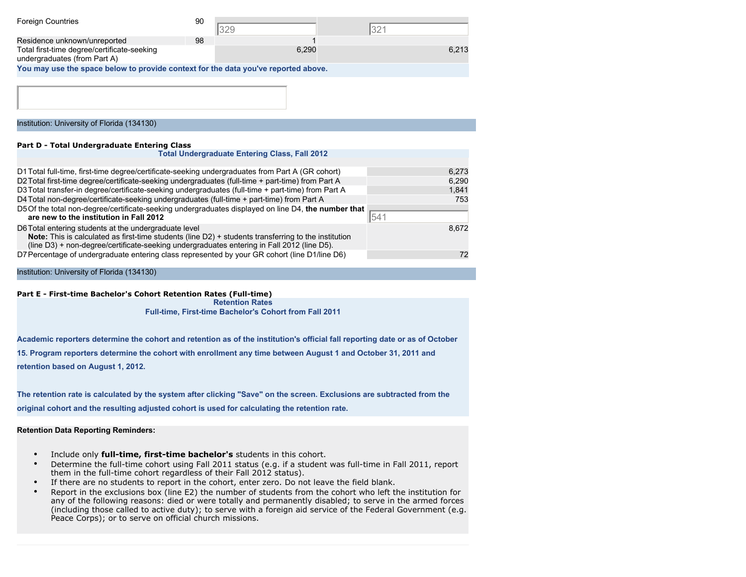| <b>Foreign Countries</b>                                                           | 90 |       |       |  |
|------------------------------------------------------------------------------------|----|-------|-------|--|
| Residence unknown/unreported                                                       | 98 |       |       |  |
| Total first-time degree/certificate-seeking<br>undergraduates (from Part A)        |    | 6.290 | 6.213 |  |
| You may use the space below to provide context for the data you've reported above. |    |       |       |  |

#### **Part D - Total Undergraduate Entering Class**

| <b>Total Undergraduate Entering Class, Fall 2012</b>                                                                                                                                                                                                               |       |
|--------------------------------------------------------------------------------------------------------------------------------------------------------------------------------------------------------------------------------------------------------------------|-------|
| D1 Total full-time, first-time degree/certificate-seeking undergraduates from Part A (GR cohort)                                                                                                                                                                   | 6,273 |
| D2 Total first-time degree/certificate-seeking undergraduates (full-time + part-time) from Part A                                                                                                                                                                  | 6,290 |
| D3 Total transfer-in degree/certificate-seeking undergraduates (full-time + part-time) from Part A                                                                                                                                                                 | 1,841 |
| D4 Total non-degree/certificate-seeking undergraduates (full-time + part-time) from Part A                                                                                                                                                                         | 753   |
| D5 Of the total non-degree/certificate-seeking undergraduates displayed on line D4, the number that<br>are new to the institution in Fall 2012                                                                                                                     | 541   |
| D6 Total entering students at the undergraduate level<br><b>Note:</b> This is calculated as first-time students (line D2) + students transferring to the institution<br>(line D3) + non-degree/certificate-seeking undergraduates entering in Fall 2012 (line D5). | 8,672 |
| D7 Percentage of undergraduate entering class represented by your GR cohort (line D1/line D6)                                                                                                                                                                      | 72    |

#### Institution: University of Florida (134130)

#### **Part E - First-time Bachelor's Cohort Retention Rates (Full-time)**

**Retention Rates**

**Full-time, First-time Bachelor's Cohort from Fall 2011**

**Academic reporters determine the cohort and retention as of the institution's official fall reporting date or as of October**

**15. Program reporters determine the cohort with enrollment any time between August 1 and October 31, 2011 and**

**retention based on August 1, 2012.**

**The retention rate is calculated by the system after clicking "Save" on the screen. Exclusions are subtracted from the**

**original cohort and the resulting adjusted cohort is used for calculating the retention rate.**

#### **Retention Data Reporting Reminders:**

- Include only **full-time, first-time bachelor's** students in this cohort.
- Determine the full-time cohort using Fall 2011 status (e.g. if a student was full-time in Fall 2011, report them in the full-time cohort regardless of their Fall 2012 status).
- If there are no students to report in the cohort, enter zero. Do not leave the field blank.
- Report in the exclusions box (line E2) the number of students from the cohort who left the institution for any of the following reasons: died or were totally and permanently disabled; to serve in the armed forces (including those called to active duty); to serve with a foreign aid service of the Federal Government (e.g. Peace Corps); or to serve on official church missions.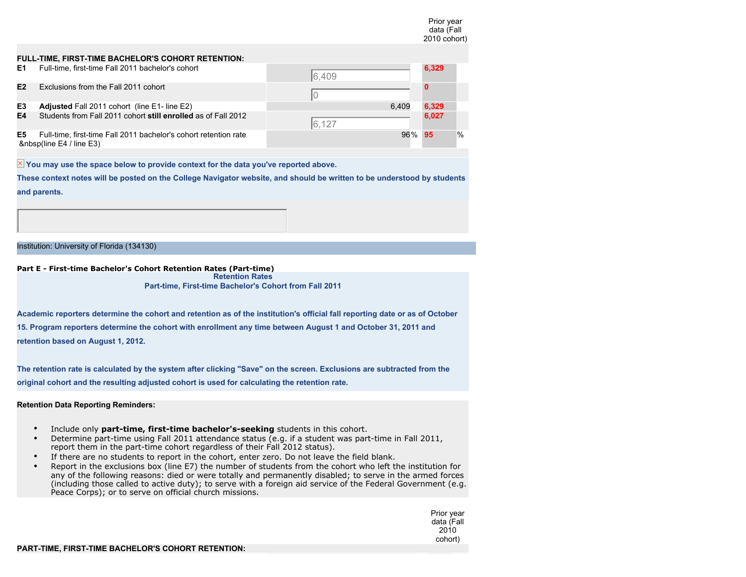|    |                                                                                         |        | data (Fall<br>2010 cohort) |   |
|----|-----------------------------------------------------------------------------------------|--------|----------------------------|---|
|    | FULL-TIME, FIRST-TIME BACHELOR'S COHORT RETENTION:                                      |        |                            |   |
| Е1 | Full-time, first-time Fall 2011 bachelor's cohort                                       | 6,409  | 6,329                      |   |
| E2 | Exclusions from the Fall 2011 cohort                                                    |        |                            |   |
| E3 | Adjusted Fall 2011 cohort (line E1- line E2)                                            | 6.409  | 6,329                      |   |
| E4 | Students from Fall 2011 cohort still enrolled as of Fall 2012                           | 6.127  | 6,027                      |   |
| E5 | Full-time, first-time Fall 2011 bachelor's cohort retention rate<br>(line E4 / line E3) | 96% 95 |                            | % |

 $\overline{\mathbb{X}}$  You may use the space below to provide context for the data you've reported above.

**These context notes will be posted on the College Navigator website, and should be written to be understood by students and parents.**

Institution: University of Florida (134130)

#### **Part E - First-time Bachelor's Cohort Retention Rates (Part-time) Retention Rates**

**Part-time, First-time Bachelor's Cohort from Fall 2011**

**Academic reporters determine the cohort and retention as of the institution's official fall reporting date or as of October 15. Program reporters determine the cohort with enrollment any time between August 1 and October 31, 2011 and retention based on August 1, 2012.**

**The retention rate is calculated by the system after clicking "Save" on the screen. Exclusions are subtracted from the original cohort and the resulting adjusted cohort is used for calculating the retention rate.**

#### **Retention Data Reporting Reminders:**

- Include only **part-time, first-time bachelor's-seeking** students in this cohort.
- Determine part-time using Fall 2011 attendance status (e.g. if a student was part-time in Fall 2011, report them in the part-time cohort regardless of their Fall 2012 status).
- If there are no students to report in the cohort, enter zero. Do not leave the field blank.
- Report in the exclusions box (line E7) the number of students from the cohort who left the institution for any of the following reasons: died or were totally and permanently disabled; to serve in the armed forces (including those called to active duty); to serve with a foreign aid service of the Federal Government (e.g. Peace Corps); or to serve on official church missions.

Prior year data (Fall 2010 cohort)

Prior year

#### **PART-TIME, FIRST-TIME BACHELOR'S COHORT RETENTION:**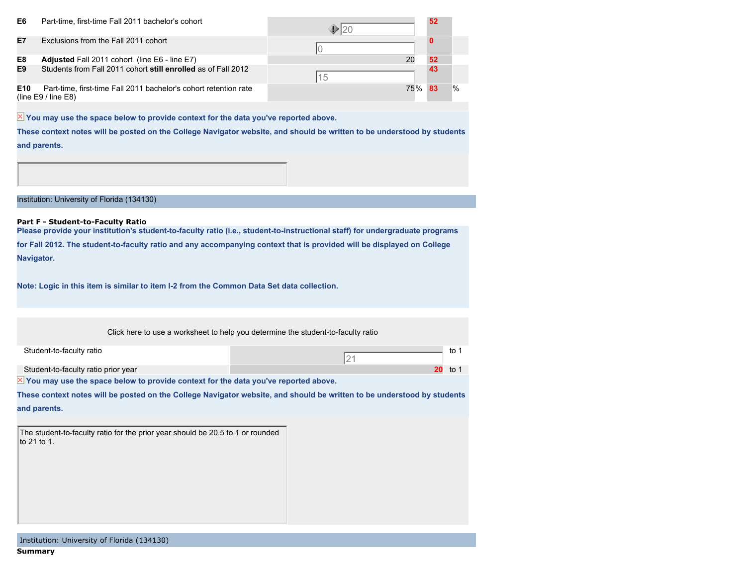| E6              | Part-time, first-time Fall 2011 bachelor's cohort                                           |     | 52 |               |
|-----------------|---------------------------------------------------------------------------------------------|-----|----|---------------|
| E7              | Exclusions from the Fall 2011 cohort                                                        |     |    |               |
| E8              | <b>Adjusted Fall 2011 cohort (line E6 - line E7)</b>                                        | 20  | 52 |               |
| E9              | Students from Fall 2011 cohort still enrolled as of Fall 2012                               | 15  |    |               |
| E <sub>10</sub> | Part-time, first-time Fall 2011 bachelor's cohort retention rate<br>(line $E9/$ line $E8$ ) | 75% | 83 | $\frac{0}{0}$ |

 $\overline{\mathbb{X}}$  You may use the space below to provide context for the data you've reported above.

**These context notes will be posted on the College Navigator website, and should be written to be understood by students and parents.**

Institution: University of Florida (134130)

#### **Part F - Student-to-Faculty Ratio**

**Please provide your institution's student-to-faculty ratio (i.e., student-to-instructional staff) for undergraduate programs for Fall 2012. The student-to-faculty ratio and any accompanying context that is provided will be displayed on College Navigator.**

**Note: Logic in this item is similar to item I-2 from the Common Data Set data collection.**

Click here to use a worksheet to help you determine the student-to-faculty ratio

21

Student-to-faculty ratio to 1

Student-to-faculty ratio prior year **20** to 1

 $\overline{\mathbb{X}}$  You may use the space below to provide context for the data you've reported above.

**These context notes will be posted on the College Navigator website, and should be written to be understood by students and parents.**

The student-to-faculty ratio for the prior year should be 20.5 to 1 or rounded to 21 to 1.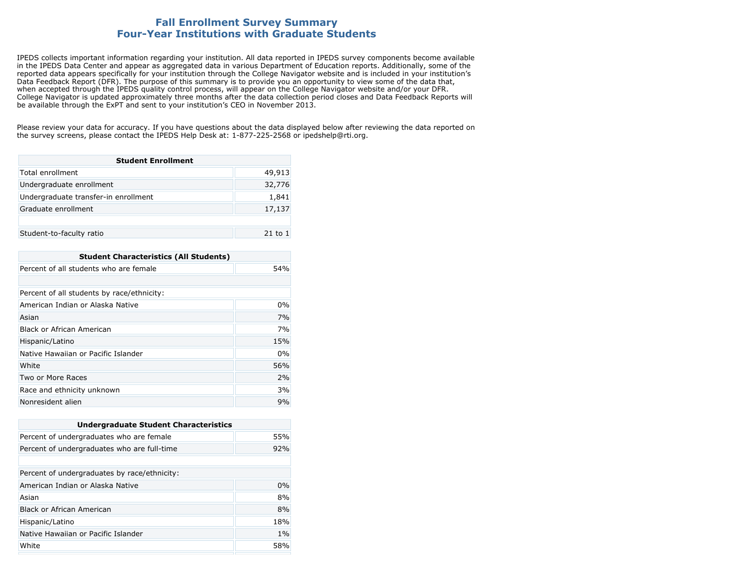## **Fall Enrollment Survey Summary Four-Year Institutions with Graduate Students**

IPEDS collects important information regarding your institution. All data reported in IPEDS survey components become available in the IPEDS Data Center and appear as aggregated data in various Department of Education reports. Additionally, some of the reported data appears specifically for your institution through the College Navigator website and is included in your institution's Data Feedback Report (DFR). The purpose of this summary is to provide you an opportunity to view some of the data that, when accepted through the IPEDS quality control process, will appear on the College Navigator website and/or your DFR. College Navigator is updated approximately three months after the data collection period closes and Data Feedback Reports will be available through the ExPT and sent to your institution's CEO in November 2013.

Please review your data for accuracy. If you have questions about the data displayed below after reviewing the data reported on the survey screens, please contact the IPEDS Help Desk at: 1-877-225-2568 or ipedshelp@rti.org.

| <b>Student Enrollment</b>            |             |
|--------------------------------------|-------------|
| Total enrollment                     | 49,913      |
| Undergraduate enrollment             | 32,776      |
| Undergraduate transfer-in enrollment | 1,841       |
| Graduate enrollment                  | 17,137      |
|                                      |             |
| Student-to-faculty ratio             | $21$ to $1$ |

| <b>Student Characteristics (All Students)</b> |     |  |
|-----------------------------------------------|-----|--|
| Percent of all students who are female        | 54% |  |
|                                               |     |  |
| Percent of all students by race/ethnicity:    |     |  |
| American Indian or Alaska Native              | 0%  |  |
| Asian                                         | 7%  |  |
| Black or African American                     | 7%  |  |
| Hispanic/Latino                               | 15% |  |
| Native Hawaiian or Pacific Islander           | 0%  |  |
| White                                         | 56% |  |
| Two or More Races                             | 2%  |  |
| Race and ethnicity unknown                    | 3%  |  |
| Nonresident alien                             | 9%  |  |

| <b>Undergraduate Student Characteristics</b> |     |  |
|----------------------------------------------|-----|--|
| Percent of undergraduates who are female     | 55% |  |
| Percent of undergraduates who are full-time  | 92% |  |
|                                              |     |  |
| Percent of undergraduates by race/ethnicity: |     |  |
| American Indian or Alaska Native             | 0%  |  |
| Asian                                        | 8%  |  |
| <b>Black or African American</b>             | 8%  |  |
| Hispanic/Latino                              | 18% |  |
| Native Hawaiian or Pacific Islander          | 1%  |  |
| White                                        | 58% |  |